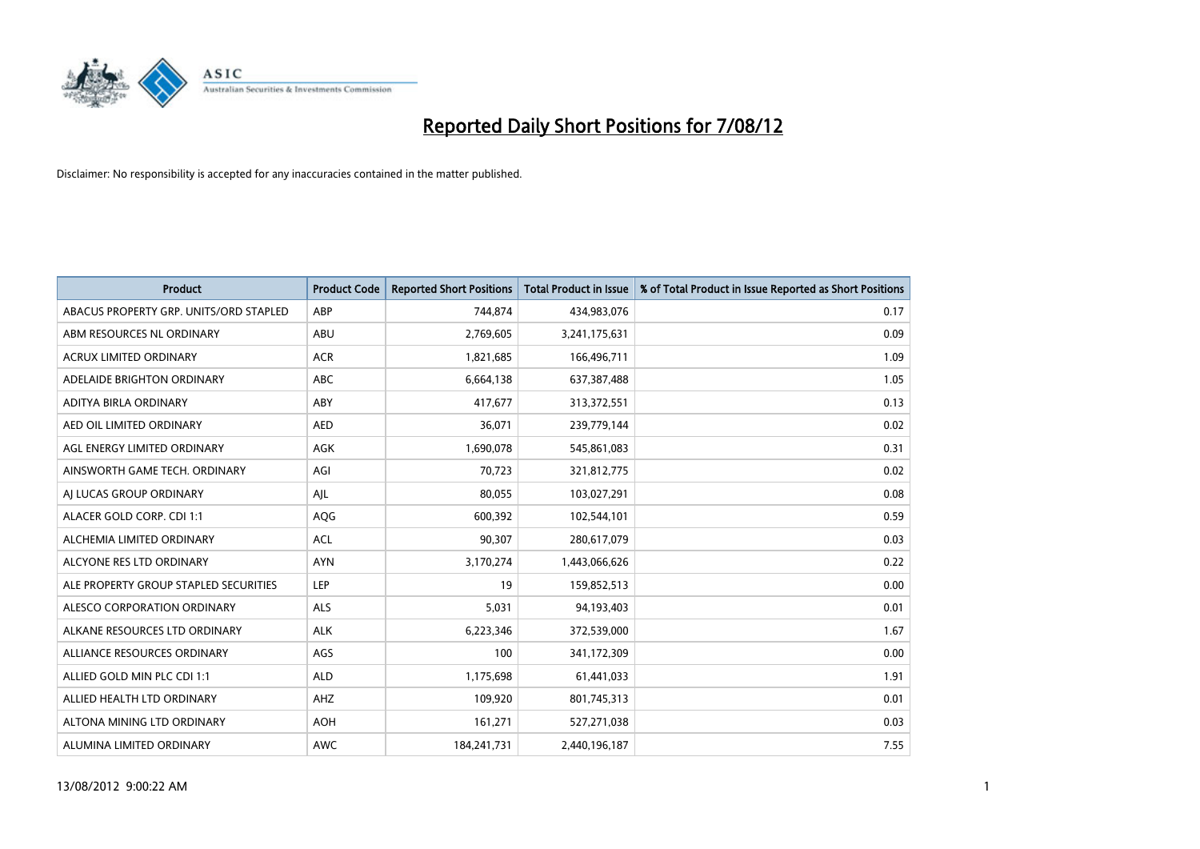

| <b>Product</b>                         | <b>Product Code</b> | <b>Reported Short Positions</b> | <b>Total Product in Issue</b> | % of Total Product in Issue Reported as Short Positions |
|----------------------------------------|---------------------|---------------------------------|-------------------------------|---------------------------------------------------------|
| ABACUS PROPERTY GRP. UNITS/ORD STAPLED | ABP                 | 744,874                         | 434,983,076                   | 0.17                                                    |
| ABM RESOURCES NL ORDINARY              | ABU                 | 2,769,605                       | 3,241,175,631                 | 0.09                                                    |
| <b>ACRUX LIMITED ORDINARY</b>          | <b>ACR</b>          | 1,821,685                       | 166,496,711                   | 1.09                                                    |
| ADELAIDE BRIGHTON ORDINARY             | ABC                 | 6,664,138                       | 637,387,488                   | 1.05                                                    |
| ADITYA BIRLA ORDINARY                  | ABY                 | 417,677                         | 313,372,551                   | 0.13                                                    |
| AED OIL LIMITED ORDINARY               | <b>AED</b>          | 36,071                          | 239,779,144                   | 0.02                                                    |
| AGL ENERGY LIMITED ORDINARY            | <b>AGK</b>          | 1,690,078                       | 545,861,083                   | 0.31                                                    |
| AINSWORTH GAME TECH. ORDINARY          | AGI                 | 70,723                          | 321,812,775                   | 0.02                                                    |
| AI LUCAS GROUP ORDINARY                | AJL                 | 80,055                          | 103,027,291                   | 0.08                                                    |
| ALACER GOLD CORP. CDI 1:1              | AQG                 | 600,392                         | 102,544,101                   | 0.59                                                    |
| ALCHEMIA LIMITED ORDINARY              | <b>ACL</b>          | 90,307                          | 280,617,079                   | 0.03                                                    |
| ALCYONE RES LTD ORDINARY               | <b>AYN</b>          | 3,170,274                       | 1,443,066,626                 | 0.22                                                    |
| ALE PROPERTY GROUP STAPLED SECURITIES  | LEP                 | 19                              | 159,852,513                   | 0.00                                                    |
| ALESCO CORPORATION ORDINARY            | <b>ALS</b>          | 5,031                           | 94,193,403                    | 0.01                                                    |
| ALKANE RESOURCES LTD ORDINARY          | <b>ALK</b>          | 6,223,346                       | 372,539,000                   | 1.67                                                    |
| ALLIANCE RESOURCES ORDINARY            | AGS                 | 100                             | 341,172,309                   | 0.00                                                    |
| ALLIED GOLD MIN PLC CDI 1:1            | <b>ALD</b>          | 1,175,698                       | 61,441,033                    | 1.91                                                    |
| ALLIED HEALTH LTD ORDINARY             | <b>AHZ</b>          | 109,920                         | 801,745,313                   | 0.01                                                    |
| ALTONA MINING LTD ORDINARY             | <b>AOH</b>          | 161,271                         | 527,271,038                   | 0.03                                                    |
| ALUMINA LIMITED ORDINARY               | <b>AWC</b>          | 184,241,731                     | 2,440,196,187                 | 7.55                                                    |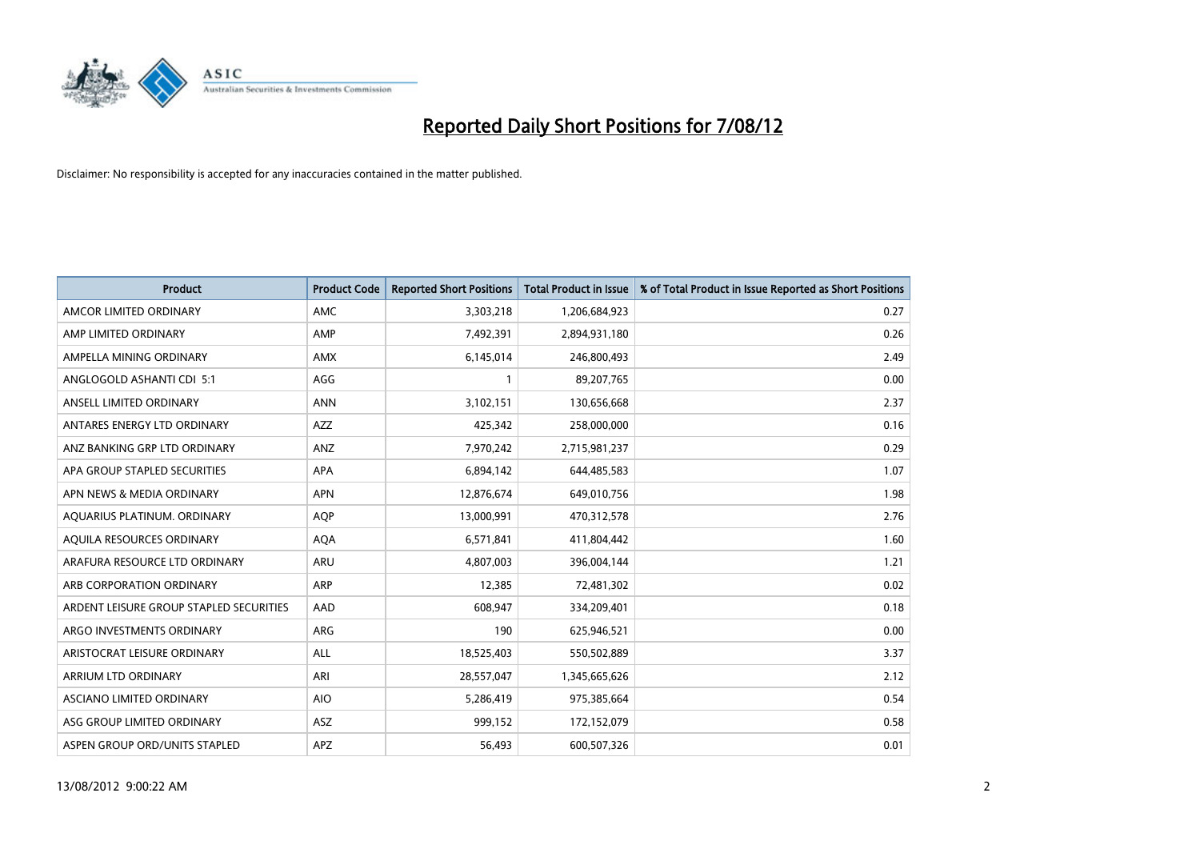

| <b>Product</b>                          | <b>Product Code</b> | <b>Reported Short Positions</b> | <b>Total Product in Issue</b> | % of Total Product in Issue Reported as Short Positions |
|-----------------------------------------|---------------------|---------------------------------|-------------------------------|---------------------------------------------------------|
| AMCOR LIMITED ORDINARY                  | <b>AMC</b>          | 3,303,218                       | 1,206,684,923                 | 0.27                                                    |
| AMP LIMITED ORDINARY                    | AMP                 | 7,492,391                       | 2,894,931,180                 | 0.26                                                    |
| AMPELLA MINING ORDINARY                 | <b>AMX</b>          | 6,145,014                       | 246,800,493                   | 2.49                                                    |
| ANGLOGOLD ASHANTI CDI 5:1               | AGG                 | $\mathbf{1}$                    | 89,207,765                    | 0.00                                                    |
| ANSELL LIMITED ORDINARY                 | <b>ANN</b>          | 3,102,151                       | 130,656,668                   | 2.37                                                    |
| ANTARES ENERGY LTD ORDINARY             | <b>AZZ</b>          | 425,342                         | 258,000,000                   | 0.16                                                    |
| ANZ BANKING GRP LTD ORDINARY            | ANZ                 | 7,970,242                       | 2,715,981,237                 | 0.29                                                    |
| APA GROUP STAPLED SECURITIES            | <b>APA</b>          | 6,894,142                       | 644,485,583                   | 1.07                                                    |
| APN NEWS & MEDIA ORDINARY               | <b>APN</b>          | 12,876,674                      | 649,010,756                   | 1.98                                                    |
| AOUARIUS PLATINUM. ORDINARY             | <b>AOP</b>          | 13,000,991                      | 470,312,578                   | 2.76                                                    |
| AQUILA RESOURCES ORDINARY               | <b>AQA</b>          | 6,571,841                       | 411,804,442                   | 1.60                                                    |
| ARAFURA RESOURCE LTD ORDINARY           | <b>ARU</b>          | 4,807,003                       | 396,004,144                   | 1.21                                                    |
| ARB CORPORATION ORDINARY                | ARP                 | 12,385                          | 72,481,302                    | 0.02                                                    |
| ARDENT LEISURE GROUP STAPLED SECURITIES | AAD                 | 608.947                         | 334,209,401                   | 0.18                                                    |
| ARGO INVESTMENTS ORDINARY               | <b>ARG</b>          | 190                             | 625,946,521                   | 0.00                                                    |
| ARISTOCRAT LEISURE ORDINARY             | <b>ALL</b>          | 18,525,403                      | 550,502,889                   | 3.37                                                    |
| ARRIUM LTD ORDINARY                     | ARI                 | 28,557,047                      | 1,345,665,626                 | 2.12                                                    |
| ASCIANO LIMITED ORDINARY                | <b>AIO</b>          | 5,286,419                       | 975,385,664                   | 0.54                                                    |
| ASG GROUP LIMITED ORDINARY              | <b>ASZ</b>          | 999,152                         | 172,152,079                   | 0.58                                                    |
| ASPEN GROUP ORD/UNITS STAPLED           | <b>APZ</b>          | 56,493                          | 600,507,326                   | 0.01                                                    |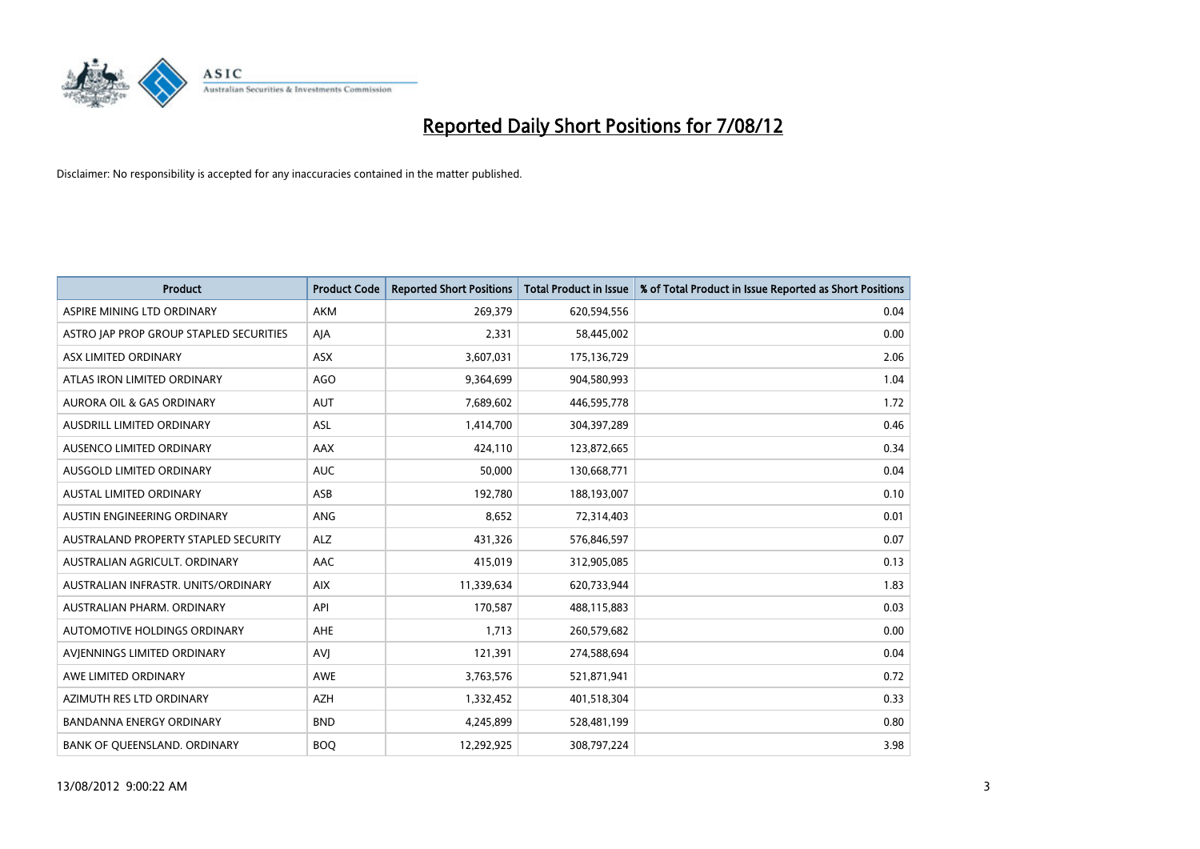

| <b>Product</b>                          | <b>Product Code</b> | <b>Reported Short Positions</b> | <b>Total Product in Issue</b> | % of Total Product in Issue Reported as Short Positions |
|-----------------------------------------|---------------------|---------------------------------|-------------------------------|---------------------------------------------------------|
| ASPIRE MINING LTD ORDINARY              | <b>AKM</b>          | 269,379                         | 620,594,556                   | 0.04                                                    |
| ASTRO JAP PROP GROUP STAPLED SECURITIES | AJA                 | 2,331                           | 58,445,002                    | 0.00                                                    |
| ASX LIMITED ORDINARY                    | <b>ASX</b>          | 3,607,031                       | 175,136,729                   | 2.06                                                    |
| ATLAS IRON LIMITED ORDINARY             | AGO                 | 9,364,699                       | 904,580,993                   | 1.04                                                    |
| <b>AURORA OIL &amp; GAS ORDINARY</b>    | <b>AUT</b>          | 7,689,602                       | 446,595,778                   | 1.72                                                    |
| AUSDRILL LIMITED ORDINARY               | <b>ASL</b>          | 1,414,700                       | 304,397,289                   | 0.46                                                    |
| AUSENCO LIMITED ORDINARY                | <b>AAX</b>          | 424,110                         | 123,872,665                   | 0.34                                                    |
| AUSGOLD LIMITED ORDINARY                | <b>AUC</b>          | 50,000                          | 130,668,771                   | 0.04                                                    |
| <b>AUSTAL LIMITED ORDINARY</b>          | ASB                 | 192,780                         | 188,193,007                   | 0.10                                                    |
| AUSTIN ENGINEERING ORDINARY             | ANG                 | 8,652                           | 72,314,403                    | 0.01                                                    |
| AUSTRALAND PROPERTY STAPLED SECURITY    | <b>ALZ</b>          | 431,326                         | 576,846,597                   | 0.07                                                    |
| AUSTRALIAN AGRICULT, ORDINARY           | AAC                 | 415,019                         | 312,905,085                   | 0.13                                                    |
| AUSTRALIAN INFRASTR. UNITS/ORDINARY     | <b>AIX</b>          | 11,339,634                      | 620,733,944                   | 1.83                                                    |
| AUSTRALIAN PHARM. ORDINARY              | API                 | 170,587                         | 488,115,883                   | 0.03                                                    |
| AUTOMOTIVE HOLDINGS ORDINARY            | <b>AHE</b>          | 1,713                           | 260,579,682                   | 0.00                                                    |
| AVIENNINGS LIMITED ORDINARY             | AVI                 | 121,391                         | 274,588,694                   | 0.04                                                    |
| AWE LIMITED ORDINARY                    | AWE                 | 3,763,576                       | 521,871,941                   | 0.72                                                    |
| AZIMUTH RES LTD ORDINARY                | <b>AZH</b>          | 1,332,452                       | 401,518,304                   | 0.33                                                    |
| <b>BANDANNA ENERGY ORDINARY</b>         | <b>BND</b>          | 4,245,899                       | 528,481,199                   | 0.80                                                    |
| BANK OF QUEENSLAND. ORDINARY            | <b>BOQ</b>          | 12,292,925                      | 308,797,224                   | 3.98                                                    |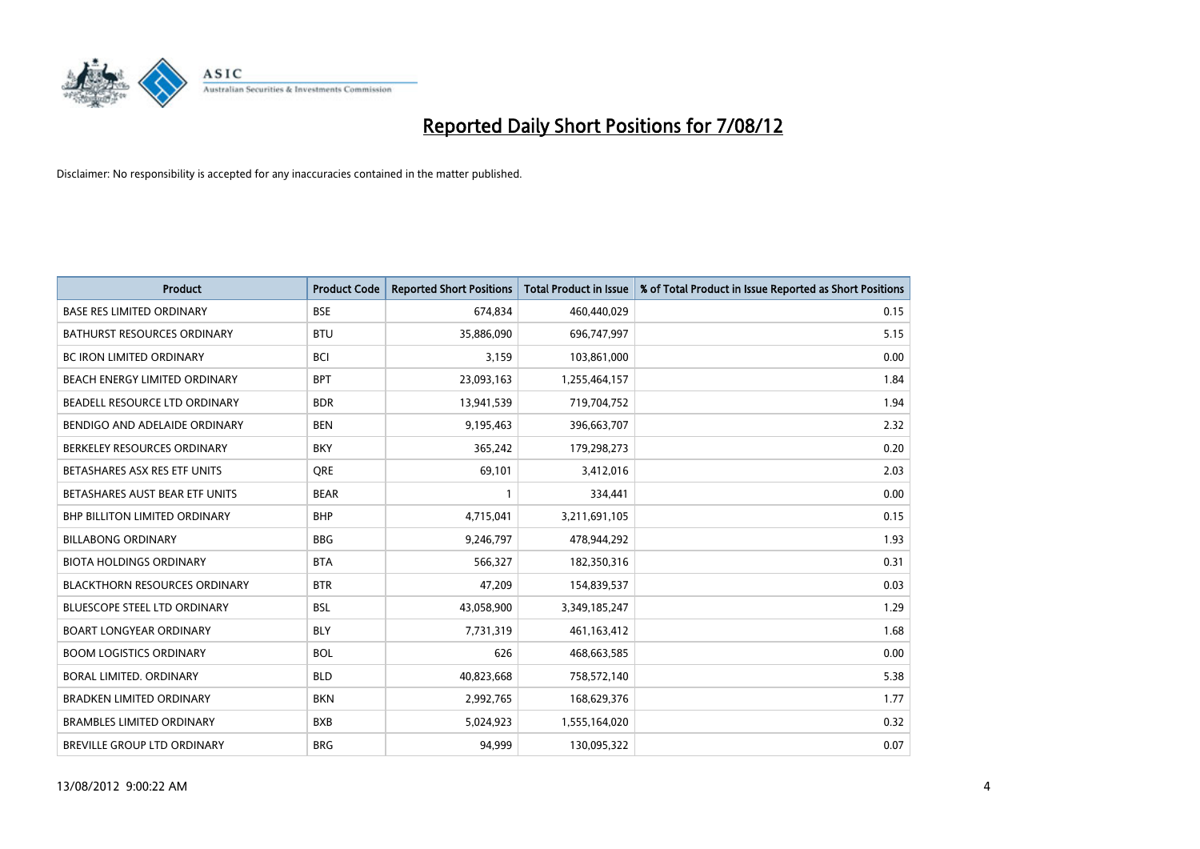

| <b>Product</b>                       | <b>Product Code</b> | <b>Reported Short Positions</b> | <b>Total Product in Issue</b> | % of Total Product in Issue Reported as Short Positions |
|--------------------------------------|---------------------|---------------------------------|-------------------------------|---------------------------------------------------------|
| <b>BASE RES LIMITED ORDINARY</b>     | <b>BSE</b>          | 674,834                         | 460,440,029                   | 0.15                                                    |
| BATHURST RESOURCES ORDINARY          | <b>BTU</b>          | 35,886,090                      | 696,747,997                   | 5.15                                                    |
| <b>BC IRON LIMITED ORDINARY</b>      | <b>BCI</b>          | 3,159                           | 103,861,000                   | 0.00                                                    |
| BEACH ENERGY LIMITED ORDINARY        | <b>BPT</b>          | 23,093,163                      | 1,255,464,157                 | 1.84                                                    |
| BEADELL RESOURCE LTD ORDINARY        | <b>BDR</b>          | 13,941,539                      | 719,704,752                   | 1.94                                                    |
| BENDIGO AND ADELAIDE ORDINARY        | <b>BEN</b>          | 9,195,463                       | 396,663,707                   | 2.32                                                    |
| BERKELEY RESOURCES ORDINARY          | <b>BKY</b>          | 365.242                         | 179,298,273                   | 0.20                                                    |
| BETASHARES ASX RES ETF UNITS         | <b>ORE</b>          | 69,101                          | 3,412,016                     | 2.03                                                    |
| BETASHARES AUST BEAR ETF UNITS       | <b>BEAR</b>         |                                 | 334,441                       | 0.00                                                    |
| <b>BHP BILLITON LIMITED ORDINARY</b> | <b>BHP</b>          | 4,715,041                       | 3,211,691,105                 | 0.15                                                    |
| <b>BILLABONG ORDINARY</b>            | <b>BBG</b>          | 9,246,797                       | 478,944,292                   | 1.93                                                    |
| <b>BIOTA HOLDINGS ORDINARY</b>       | <b>BTA</b>          | 566,327                         | 182,350,316                   | 0.31                                                    |
| <b>BLACKTHORN RESOURCES ORDINARY</b> | <b>BTR</b>          | 47,209                          | 154,839,537                   | 0.03                                                    |
| <b>BLUESCOPE STEEL LTD ORDINARY</b>  | <b>BSL</b>          | 43,058,900                      | 3,349,185,247                 | 1.29                                                    |
| <b>BOART LONGYEAR ORDINARY</b>       | <b>BLY</b>          | 7,731,319                       | 461,163,412                   | 1.68                                                    |
| <b>BOOM LOGISTICS ORDINARY</b>       | <b>BOL</b>          | 626                             | 468,663,585                   | 0.00                                                    |
| <b>BORAL LIMITED, ORDINARY</b>       | <b>BLD</b>          | 40,823,668                      | 758,572,140                   | 5.38                                                    |
| <b>BRADKEN LIMITED ORDINARY</b>      | <b>BKN</b>          | 2,992,765                       | 168,629,376                   | 1.77                                                    |
| <b>BRAMBLES LIMITED ORDINARY</b>     | <b>BXB</b>          | 5,024,923                       | 1,555,164,020                 | 0.32                                                    |
| BREVILLE GROUP LTD ORDINARY          | <b>BRG</b>          | 94.999                          | 130,095,322                   | 0.07                                                    |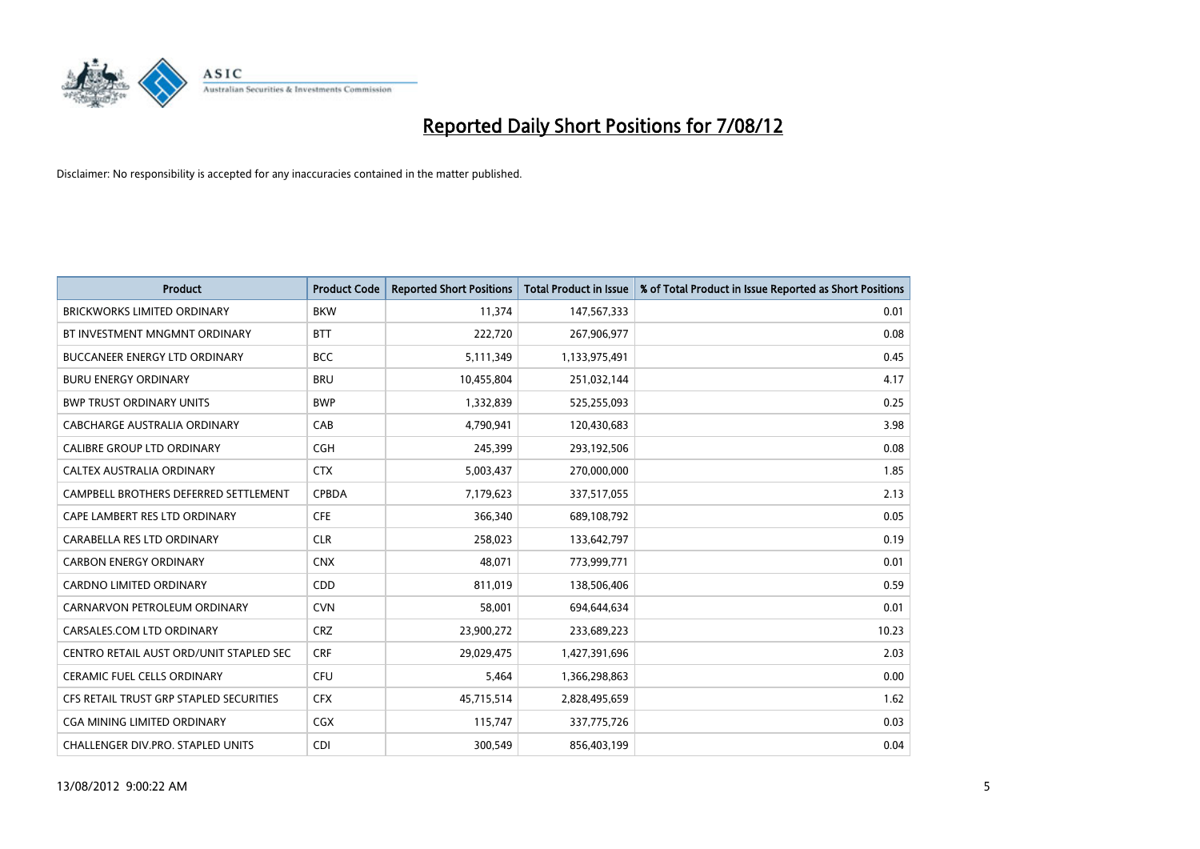

| <b>Product</b>                          | <b>Product Code</b> | <b>Reported Short Positions</b> | <b>Total Product in Issue</b> | % of Total Product in Issue Reported as Short Positions |
|-----------------------------------------|---------------------|---------------------------------|-------------------------------|---------------------------------------------------------|
| <b>BRICKWORKS LIMITED ORDINARY</b>      | <b>BKW</b>          | 11,374                          | 147,567,333                   | 0.01                                                    |
| BT INVESTMENT MNGMNT ORDINARY           | <b>BTT</b>          | 222,720                         | 267,906,977                   | 0.08                                                    |
| <b>BUCCANEER ENERGY LTD ORDINARY</b>    | <b>BCC</b>          | 5,111,349                       | 1,133,975,491                 | 0.45                                                    |
| <b>BURU ENERGY ORDINARY</b>             | <b>BRU</b>          | 10,455,804                      | 251,032,144                   | 4.17                                                    |
| <b>BWP TRUST ORDINARY UNITS</b>         | <b>BWP</b>          | 1,332,839                       | 525,255,093                   | 0.25                                                    |
| CABCHARGE AUSTRALIA ORDINARY            | CAB                 | 4,790,941                       | 120,430,683                   | 3.98                                                    |
| <b>CALIBRE GROUP LTD ORDINARY</b>       | <b>CGH</b>          | 245,399                         | 293,192,506                   | 0.08                                                    |
| <b>CALTEX AUSTRALIA ORDINARY</b>        | <b>CTX</b>          | 5,003,437                       | 270,000,000                   | 1.85                                                    |
| CAMPBELL BROTHERS DEFERRED SETTLEMENT   | <b>CPBDA</b>        | 7,179,623                       | 337,517,055                   | 2.13                                                    |
| CAPE LAMBERT RES LTD ORDINARY           | <b>CFE</b>          | 366,340                         | 689,108,792                   | 0.05                                                    |
| CARABELLA RES LTD ORDINARY              | <b>CLR</b>          | 258,023                         | 133,642,797                   | 0.19                                                    |
| <b>CARBON ENERGY ORDINARY</b>           | <b>CNX</b>          | 48,071                          | 773,999,771                   | 0.01                                                    |
| CARDNO LIMITED ORDINARY                 | CDD                 | 811,019                         | 138,506,406                   | 0.59                                                    |
| CARNARVON PETROLEUM ORDINARY            | <b>CVN</b>          | 58,001                          | 694,644,634                   | 0.01                                                    |
| CARSALES.COM LTD ORDINARY               | <b>CRZ</b>          | 23,900,272                      | 233,689,223                   | 10.23                                                   |
| CENTRO RETAIL AUST ORD/UNIT STAPLED SEC | <b>CRF</b>          | 29,029,475                      | 1,427,391,696                 | 2.03                                                    |
| CERAMIC FUEL CELLS ORDINARY             | <b>CFU</b>          | 5,464                           | 1,366,298,863                 | 0.00                                                    |
| CFS RETAIL TRUST GRP STAPLED SECURITIES | <b>CFX</b>          | 45,715,514                      | 2,828,495,659                 | 1.62                                                    |
| <b>CGA MINING LIMITED ORDINARY</b>      | CGX                 | 115,747                         | 337,775,726                   | 0.03                                                    |
| CHALLENGER DIV.PRO. STAPLED UNITS       | <b>CDI</b>          | 300,549                         | 856,403,199                   | 0.04                                                    |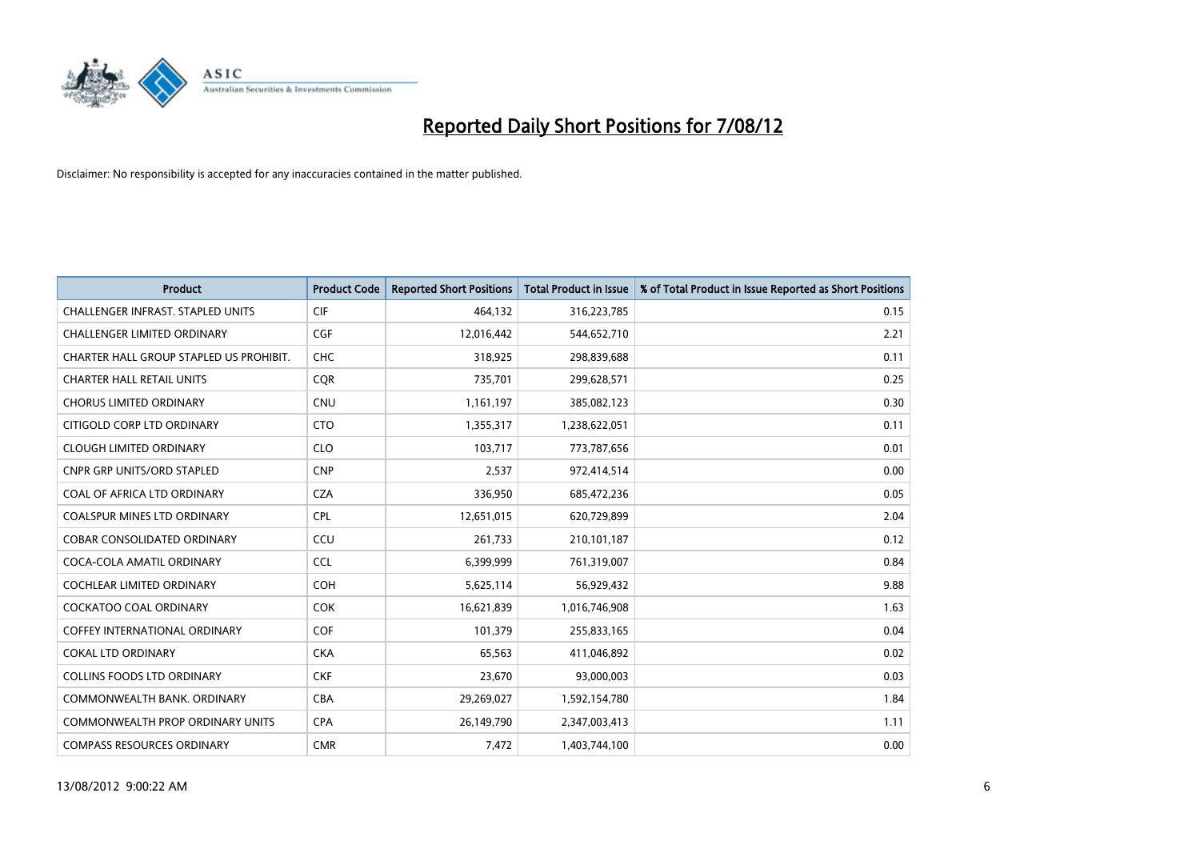

| <b>Product</b>                           | <b>Product Code</b> | <b>Reported Short Positions</b> | <b>Total Product in Issue</b> | % of Total Product in Issue Reported as Short Positions |
|------------------------------------------|---------------------|---------------------------------|-------------------------------|---------------------------------------------------------|
| <b>CHALLENGER INFRAST, STAPLED UNITS</b> | <b>CIF</b>          | 464,132                         | 316,223,785                   | 0.15                                                    |
| <b>CHALLENGER LIMITED ORDINARY</b>       | <b>CGF</b>          | 12,016,442                      | 544,652,710                   | 2.21                                                    |
| CHARTER HALL GROUP STAPLED US PROHIBIT.  | <b>CHC</b>          | 318,925                         | 298,839,688                   | 0.11                                                    |
| <b>CHARTER HALL RETAIL UNITS</b>         | <b>COR</b>          | 735,701                         | 299,628,571                   | 0.25                                                    |
| <b>CHORUS LIMITED ORDINARY</b>           | <b>CNU</b>          | 1,161,197                       | 385,082,123                   | 0.30                                                    |
| CITIGOLD CORP LTD ORDINARY               | <b>CTO</b>          | 1,355,317                       | 1,238,622,051                 | 0.11                                                    |
| <b>CLOUGH LIMITED ORDINARY</b>           | <b>CLO</b>          | 103.717                         | 773,787,656                   | 0.01                                                    |
| <b>CNPR GRP UNITS/ORD STAPLED</b>        | <b>CNP</b>          | 2,537                           | 972,414,514                   | 0.00                                                    |
| COAL OF AFRICA LTD ORDINARY              | <b>CZA</b>          | 336,950                         | 685,472,236                   | 0.05                                                    |
| <b>COALSPUR MINES LTD ORDINARY</b>       | <b>CPL</b>          | 12,651,015                      | 620,729,899                   | 2.04                                                    |
| <b>COBAR CONSOLIDATED ORDINARY</b>       | CCU                 | 261,733                         | 210,101,187                   | 0.12                                                    |
| COCA-COLA AMATIL ORDINARY                | <b>CCL</b>          | 6,399,999                       | 761,319,007                   | 0.84                                                    |
| <b>COCHLEAR LIMITED ORDINARY</b>         | <b>COH</b>          | 5,625,114                       | 56,929,432                    | 9.88                                                    |
| <b>COCKATOO COAL ORDINARY</b>            | <b>COK</b>          | 16,621,839                      | 1,016,746,908                 | 1.63                                                    |
| <b>COFFEY INTERNATIONAL ORDINARY</b>     | <b>COF</b>          | 101,379                         | 255,833,165                   | 0.04                                                    |
| <b>COKAL LTD ORDINARY</b>                | <b>CKA</b>          | 65,563                          | 411,046,892                   | 0.02                                                    |
| <b>COLLINS FOODS LTD ORDINARY</b>        | <b>CKF</b>          | 23,670                          | 93,000,003                    | 0.03                                                    |
| COMMONWEALTH BANK, ORDINARY              | <b>CBA</b>          | 29,269,027                      | 1,592,154,780                 | 1.84                                                    |
| <b>COMMONWEALTH PROP ORDINARY UNITS</b>  | <b>CPA</b>          | 26,149,790                      | 2,347,003,413                 | 1.11                                                    |
| <b>COMPASS RESOURCES ORDINARY</b>        | <b>CMR</b>          | 7,472                           | 1,403,744,100                 | 0.00                                                    |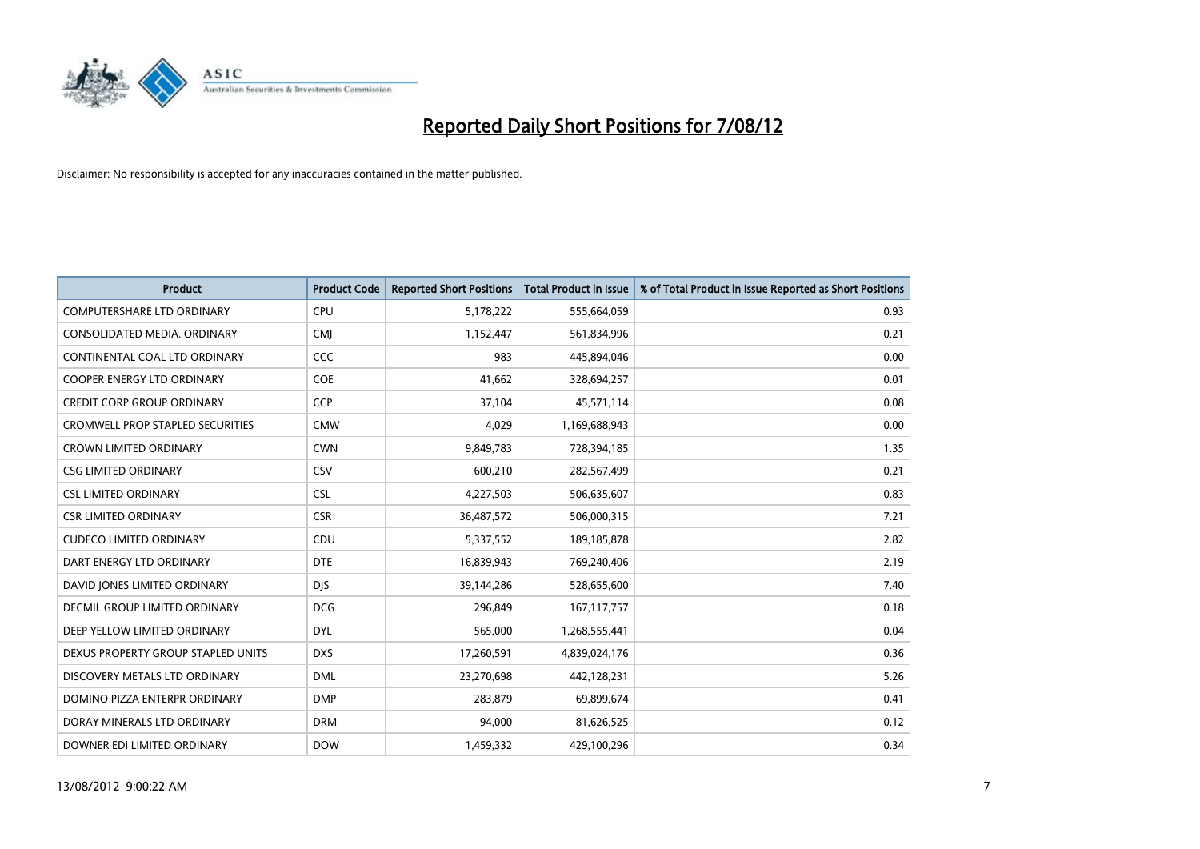

| <b>Product</b>                          | <b>Product Code</b> | <b>Reported Short Positions</b> | <b>Total Product in Issue</b> | % of Total Product in Issue Reported as Short Positions |
|-----------------------------------------|---------------------|---------------------------------|-------------------------------|---------------------------------------------------------|
| <b>COMPUTERSHARE LTD ORDINARY</b>       | CPU                 | 5,178,222                       | 555,664,059                   | 0.93                                                    |
| CONSOLIDATED MEDIA. ORDINARY            | <b>CMI</b>          | 1,152,447                       | 561,834,996                   | 0.21                                                    |
| CONTINENTAL COAL LTD ORDINARY           | CCC                 | 983                             | 445,894,046                   | 0.00                                                    |
| COOPER ENERGY LTD ORDINARY              | <b>COE</b>          | 41,662                          | 328,694,257                   | 0.01                                                    |
| <b>CREDIT CORP GROUP ORDINARY</b>       | <b>CCP</b>          | 37,104                          | 45,571,114                    | 0.08                                                    |
| <b>CROMWELL PROP STAPLED SECURITIES</b> | <b>CMW</b>          | 4,029                           | 1,169,688,943                 | 0.00                                                    |
| <b>CROWN LIMITED ORDINARY</b>           | <b>CWN</b>          | 9,849,783                       | 728,394,185                   | 1.35                                                    |
| <b>CSG LIMITED ORDINARY</b>             | CSV                 | 600,210                         | 282,567,499                   | 0.21                                                    |
| <b>CSL LIMITED ORDINARY</b>             | <b>CSL</b>          | 4,227,503                       | 506,635,607                   | 0.83                                                    |
| <b>CSR LIMITED ORDINARY</b>             | <b>CSR</b>          | 36,487,572                      | 506,000,315                   | 7.21                                                    |
| <b>CUDECO LIMITED ORDINARY</b>          | CDU                 | 5,337,552                       | 189, 185, 878                 | 2.82                                                    |
| DART ENERGY LTD ORDINARY                | <b>DTE</b>          | 16,839,943                      | 769,240,406                   | 2.19                                                    |
| DAVID JONES LIMITED ORDINARY            | <b>DJS</b>          | 39,144,286                      | 528,655,600                   | 7.40                                                    |
| <b>DECMIL GROUP LIMITED ORDINARY</b>    | <b>DCG</b>          | 296,849                         | 167, 117, 757                 | 0.18                                                    |
| DEEP YELLOW LIMITED ORDINARY            | <b>DYL</b>          | 565,000                         | 1,268,555,441                 | 0.04                                                    |
| DEXUS PROPERTY GROUP STAPLED UNITS      | <b>DXS</b>          | 17,260,591                      | 4,839,024,176                 | 0.36                                                    |
| DISCOVERY METALS LTD ORDINARY           | <b>DML</b>          | 23,270,698                      | 442,128,231                   | 5.26                                                    |
| DOMINO PIZZA ENTERPR ORDINARY           | <b>DMP</b>          | 283,879                         | 69,899,674                    | 0.41                                                    |
| DORAY MINERALS LTD ORDINARY             | <b>DRM</b>          | 94,000                          | 81,626,525                    | 0.12                                                    |
| DOWNER EDI LIMITED ORDINARY             | <b>DOW</b>          | 1,459,332                       | 429,100,296                   | 0.34                                                    |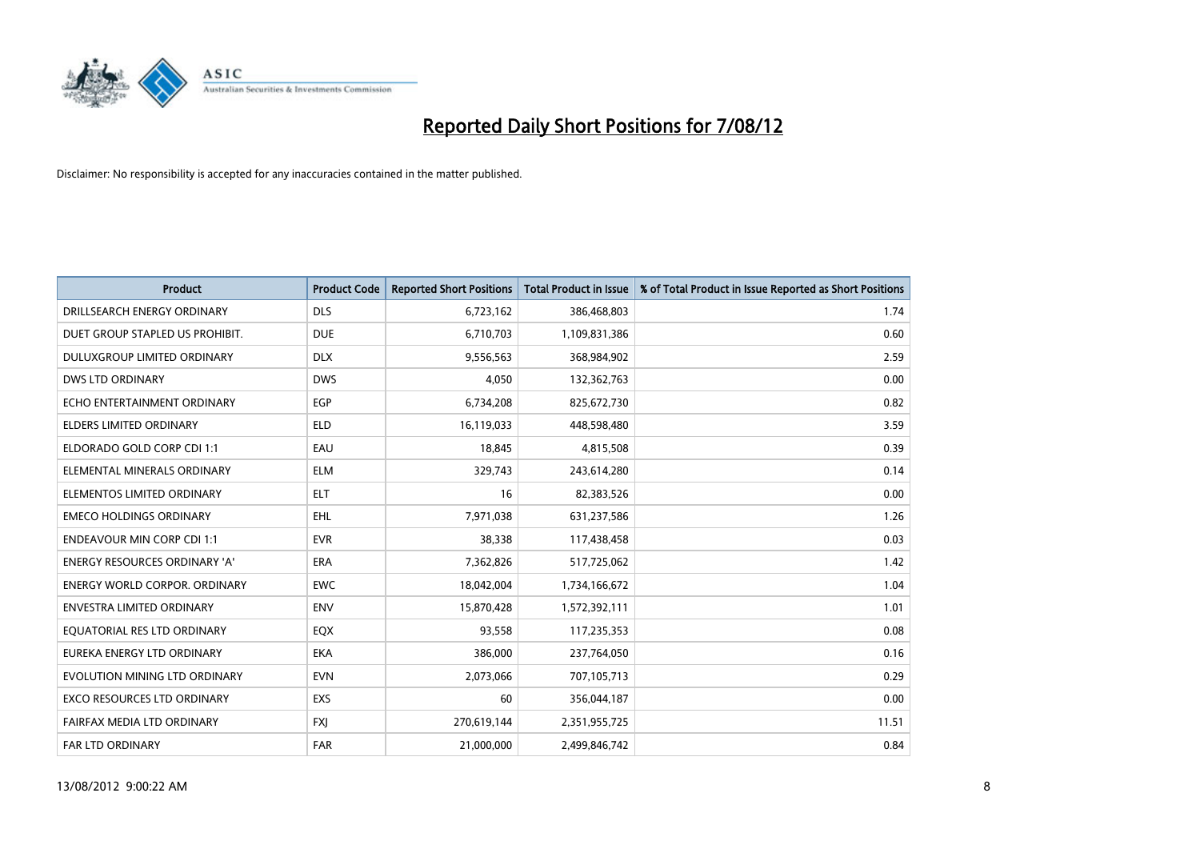

| <b>Product</b>                       | <b>Product Code</b> | <b>Reported Short Positions</b> | <b>Total Product in Issue</b> | % of Total Product in Issue Reported as Short Positions |
|--------------------------------------|---------------------|---------------------------------|-------------------------------|---------------------------------------------------------|
| DRILLSEARCH ENERGY ORDINARY          | <b>DLS</b>          | 6,723,162                       | 386,468,803                   | 1.74                                                    |
| DUET GROUP STAPLED US PROHIBIT.      | <b>DUE</b>          | 6,710,703                       | 1,109,831,386                 | 0.60                                                    |
| <b>DULUXGROUP LIMITED ORDINARY</b>   | <b>DLX</b>          | 9,556,563                       | 368,984,902                   | 2.59                                                    |
| <b>DWS LTD ORDINARY</b>              | <b>DWS</b>          | 4,050                           | 132,362,763                   | 0.00                                                    |
| ECHO ENTERTAINMENT ORDINARY          | EGP                 | 6,734,208                       | 825,672,730                   | 0.82                                                    |
| ELDERS LIMITED ORDINARY              | <b>ELD</b>          | 16,119,033                      | 448,598,480                   | 3.59                                                    |
| ELDORADO GOLD CORP CDI 1:1           | EAU                 | 18.845                          | 4,815,508                     | 0.39                                                    |
| ELEMENTAL MINERALS ORDINARY          | <b>ELM</b>          | 329,743                         | 243,614,280                   | 0.14                                                    |
| ELEMENTOS LIMITED ORDINARY           | <b>ELT</b>          | 16                              | 82,383,526                    | 0.00                                                    |
| <b>EMECO HOLDINGS ORDINARY</b>       | <b>EHL</b>          | 7,971,038                       | 631,237,586                   | 1.26                                                    |
| <b>ENDEAVOUR MIN CORP CDI 1:1</b>    | <b>EVR</b>          | 38,338                          | 117,438,458                   | 0.03                                                    |
| <b>ENERGY RESOURCES ORDINARY 'A'</b> | <b>ERA</b>          | 7,362,826                       | 517,725,062                   | 1.42                                                    |
| ENERGY WORLD CORPOR. ORDINARY        | <b>EWC</b>          | 18,042,004                      | 1,734,166,672                 | 1.04                                                    |
| <b>ENVESTRA LIMITED ORDINARY</b>     | <b>ENV</b>          | 15,870,428                      | 1,572,392,111                 | 1.01                                                    |
| EQUATORIAL RES LTD ORDINARY          | EQX                 | 93,558                          | 117,235,353                   | 0.08                                                    |
| EUREKA ENERGY LTD ORDINARY           | <b>EKA</b>          | 386,000                         | 237,764,050                   | 0.16                                                    |
| EVOLUTION MINING LTD ORDINARY        | <b>EVN</b>          | 2,073,066                       | 707,105,713                   | 0.29                                                    |
| EXCO RESOURCES LTD ORDINARY          | <b>EXS</b>          | 60                              | 356,044,187                   | 0.00                                                    |
| FAIRFAX MEDIA LTD ORDINARY           | <b>FXI</b>          | 270,619,144                     | 2,351,955,725                 | 11.51                                                   |
| <b>FAR LTD ORDINARY</b>              | <b>FAR</b>          | 21.000.000                      | 2.499.846.742                 | 0.84                                                    |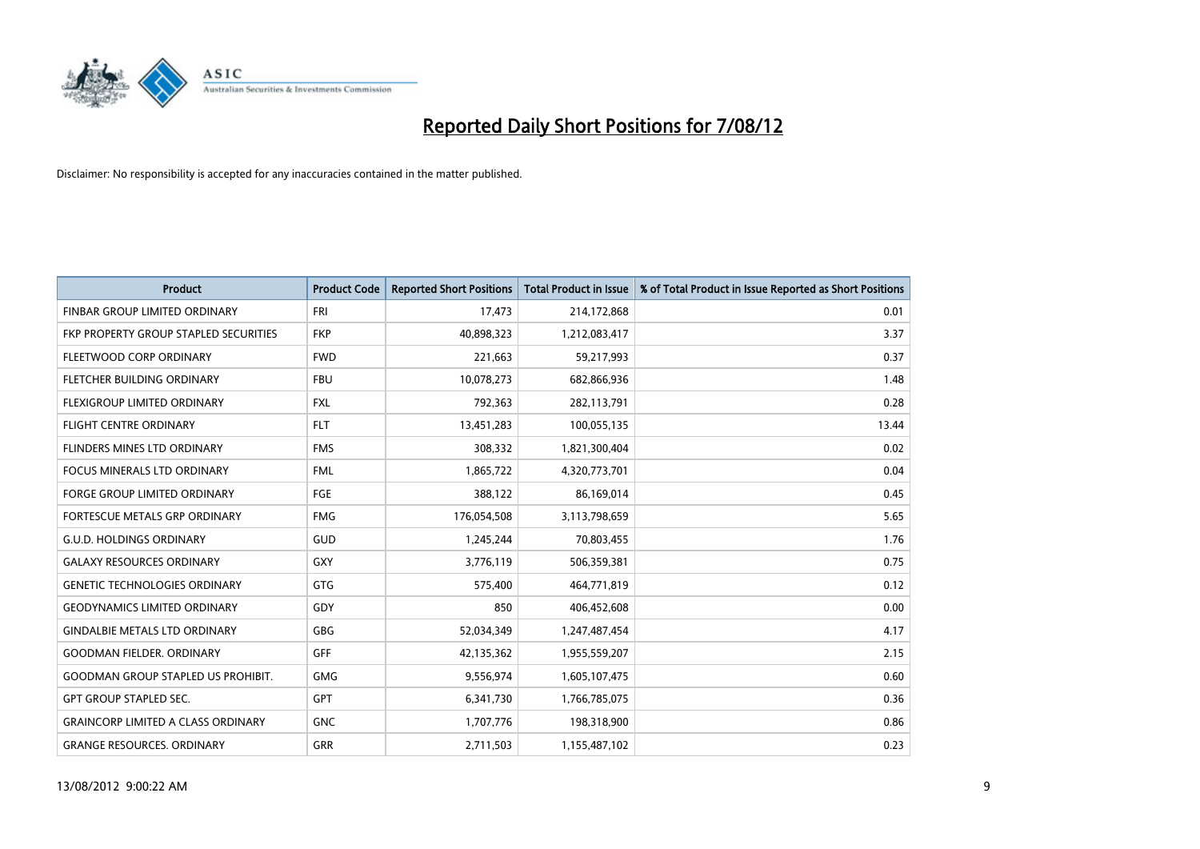

| <b>Product</b>                               | <b>Product Code</b> | <b>Reported Short Positions</b> | <b>Total Product in Issue</b> | % of Total Product in Issue Reported as Short Positions |
|----------------------------------------------|---------------------|---------------------------------|-------------------------------|---------------------------------------------------------|
| <b>FINBAR GROUP LIMITED ORDINARY</b>         | <b>FRI</b>          | 17,473                          | 214,172,868                   | 0.01                                                    |
| <b>FKP PROPERTY GROUP STAPLED SECURITIES</b> | <b>FKP</b>          | 40,898,323                      | 1,212,083,417                 | 3.37                                                    |
| FLEETWOOD CORP ORDINARY                      | <b>FWD</b>          | 221,663                         | 59,217,993                    | 0.37                                                    |
| FLETCHER BUILDING ORDINARY                   | <b>FBU</b>          | 10,078,273                      | 682,866,936                   | 1.48                                                    |
| FLEXIGROUP LIMITED ORDINARY                  | <b>FXL</b>          | 792,363                         | 282,113,791                   | 0.28                                                    |
| <b>FLIGHT CENTRE ORDINARY</b>                | <b>FLT</b>          | 13,451,283                      | 100,055,135                   | 13.44                                                   |
| FLINDERS MINES LTD ORDINARY                  | <b>FMS</b>          | 308,332                         | 1,821,300,404                 | 0.02                                                    |
| FOCUS MINERALS LTD ORDINARY                  | <b>FML</b>          | 1,865,722                       | 4,320,773,701                 | 0.04                                                    |
| FORGE GROUP LIMITED ORDINARY                 | FGE                 | 388,122                         | 86,169,014                    | 0.45                                                    |
| FORTESCUE METALS GRP ORDINARY                | <b>FMG</b>          | 176,054,508                     | 3,113,798,659                 | 5.65                                                    |
| <b>G.U.D. HOLDINGS ORDINARY</b>              | <b>GUD</b>          | 1,245,244                       | 70,803,455                    | 1.76                                                    |
| <b>GALAXY RESOURCES ORDINARY</b>             | GXY                 | 3,776,119                       | 506,359,381                   | 0.75                                                    |
| <b>GENETIC TECHNOLOGIES ORDINARY</b>         | <b>GTG</b>          | 575,400                         | 464,771,819                   | 0.12                                                    |
| <b>GEODYNAMICS LIMITED ORDINARY</b>          | GDY                 | 850                             | 406,452,608                   | 0.00                                                    |
| <b>GINDALBIE METALS LTD ORDINARY</b>         | GBG                 | 52,034,349                      | 1,247,487,454                 | 4.17                                                    |
| <b>GOODMAN FIELDER, ORDINARY</b>             | <b>GFF</b>          | 42,135,362                      | 1,955,559,207                 | 2.15                                                    |
| <b>GOODMAN GROUP STAPLED US PROHIBIT.</b>    | <b>GMG</b>          | 9,556,974                       | 1,605,107,475                 | 0.60                                                    |
| <b>GPT GROUP STAPLED SEC.</b>                | <b>GPT</b>          | 6,341,730                       | 1,766,785,075                 | 0.36                                                    |
| <b>GRAINCORP LIMITED A CLASS ORDINARY</b>    | <b>GNC</b>          | 1,707,776                       | 198,318,900                   | 0.86                                                    |
| <b>GRANGE RESOURCES. ORDINARY</b>            | <b>GRR</b>          | 2,711,503                       | 1,155,487,102                 | 0.23                                                    |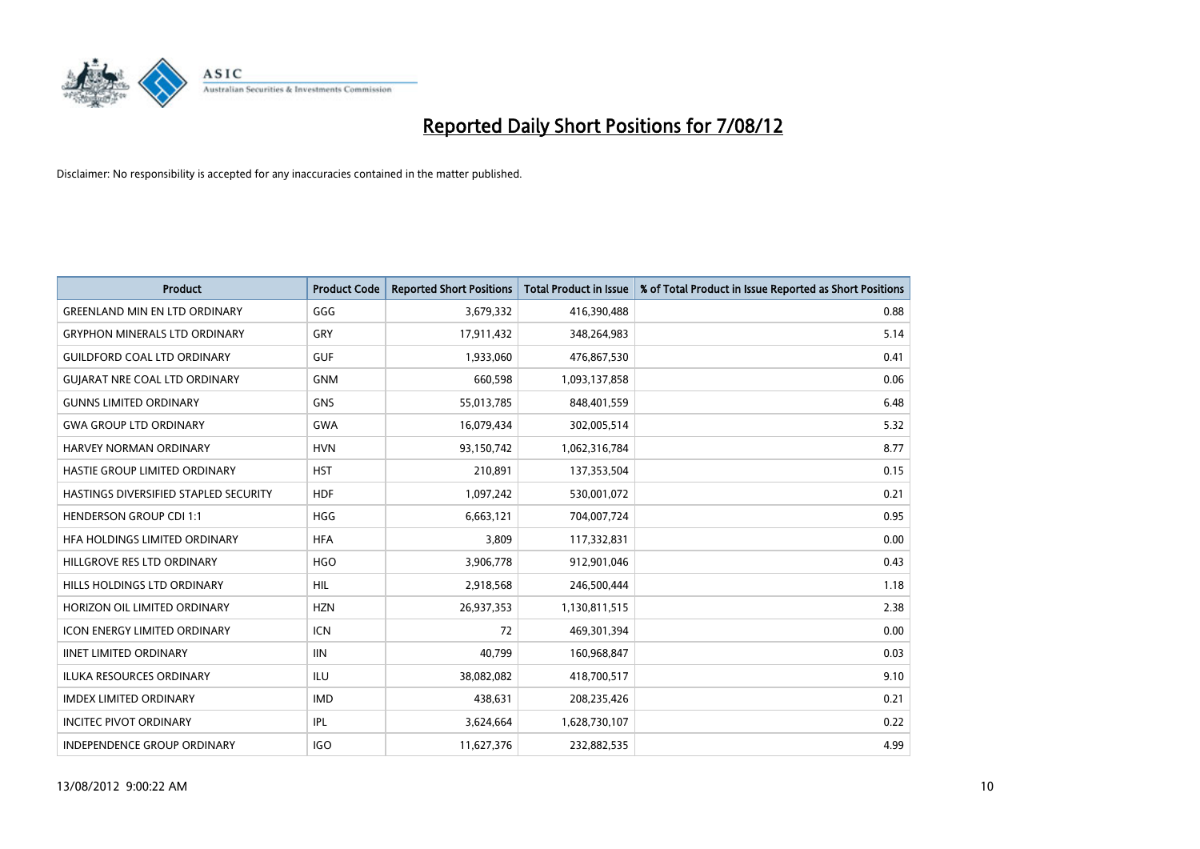

| <b>Product</b>                        | <b>Product Code</b> | <b>Reported Short Positions</b> | <b>Total Product in Issue</b> | % of Total Product in Issue Reported as Short Positions |
|---------------------------------------|---------------------|---------------------------------|-------------------------------|---------------------------------------------------------|
| <b>GREENLAND MIN EN LTD ORDINARY</b>  | GGG                 | 3,679,332                       | 416,390,488                   | 0.88                                                    |
| <b>GRYPHON MINERALS LTD ORDINARY</b>  | GRY                 | 17,911,432                      | 348,264,983                   | 5.14                                                    |
| <b>GUILDFORD COAL LTD ORDINARY</b>    | <b>GUF</b>          | 1,933,060                       | 476,867,530                   | 0.41                                                    |
| <b>GUJARAT NRE COAL LTD ORDINARY</b>  | <b>GNM</b>          | 660,598                         | 1,093,137,858                 | 0.06                                                    |
| <b>GUNNS LIMITED ORDINARY</b>         | <b>GNS</b>          | 55,013,785                      | 848,401,559                   | 6.48                                                    |
| <b>GWA GROUP LTD ORDINARY</b>         | <b>GWA</b>          | 16,079,434                      | 302,005,514                   | 5.32                                                    |
| <b>HARVEY NORMAN ORDINARY</b>         | <b>HVN</b>          | 93,150,742                      | 1,062,316,784                 | 8.77                                                    |
| HASTIE GROUP LIMITED ORDINARY         | <b>HST</b>          | 210,891                         | 137,353,504                   | 0.15                                                    |
| HASTINGS DIVERSIFIED STAPLED SECURITY | <b>HDF</b>          | 1,097,242                       | 530,001,072                   | 0.21                                                    |
| <b>HENDERSON GROUP CDI 1:1</b>        | <b>HGG</b>          | 6,663,121                       | 704,007,724                   | 0.95                                                    |
| HFA HOLDINGS LIMITED ORDINARY         | <b>HFA</b>          | 3,809                           | 117,332,831                   | 0.00                                                    |
| HILLGROVE RES LTD ORDINARY            | <b>HGO</b>          | 3,906,778                       | 912,901,046                   | 0.43                                                    |
| HILLS HOLDINGS LTD ORDINARY           | <b>HIL</b>          | 2,918,568                       | 246,500,444                   | 1.18                                                    |
| HORIZON OIL LIMITED ORDINARY          | <b>HZN</b>          | 26,937,353                      | 1,130,811,515                 | 2.38                                                    |
| <b>ICON ENERGY LIMITED ORDINARY</b>   | <b>ICN</b>          | 72                              | 469,301,394                   | 0.00                                                    |
| <b>IINET LIMITED ORDINARY</b>         | <b>IIN</b>          | 40,799                          | 160,968,847                   | 0.03                                                    |
| ILUKA RESOURCES ORDINARY              | ILU                 | 38,082,082                      | 418,700,517                   | 9.10                                                    |
| <b>IMDEX LIMITED ORDINARY</b>         | <b>IMD</b>          | 438,631                         | 208,235,426                   | 0.21                                                    |
| <b>INCITEC PIVOT ORDINARY</b>         | <b>IPL</b>          | 3,624,664                       | 1,628,730,107                 | 0.22                                                    |
| INDEPENDENCE GROUP ORDINARY           | <b>IGO</b>          | 11,627,376                      | 232,882,535                   | 4.99                                                    |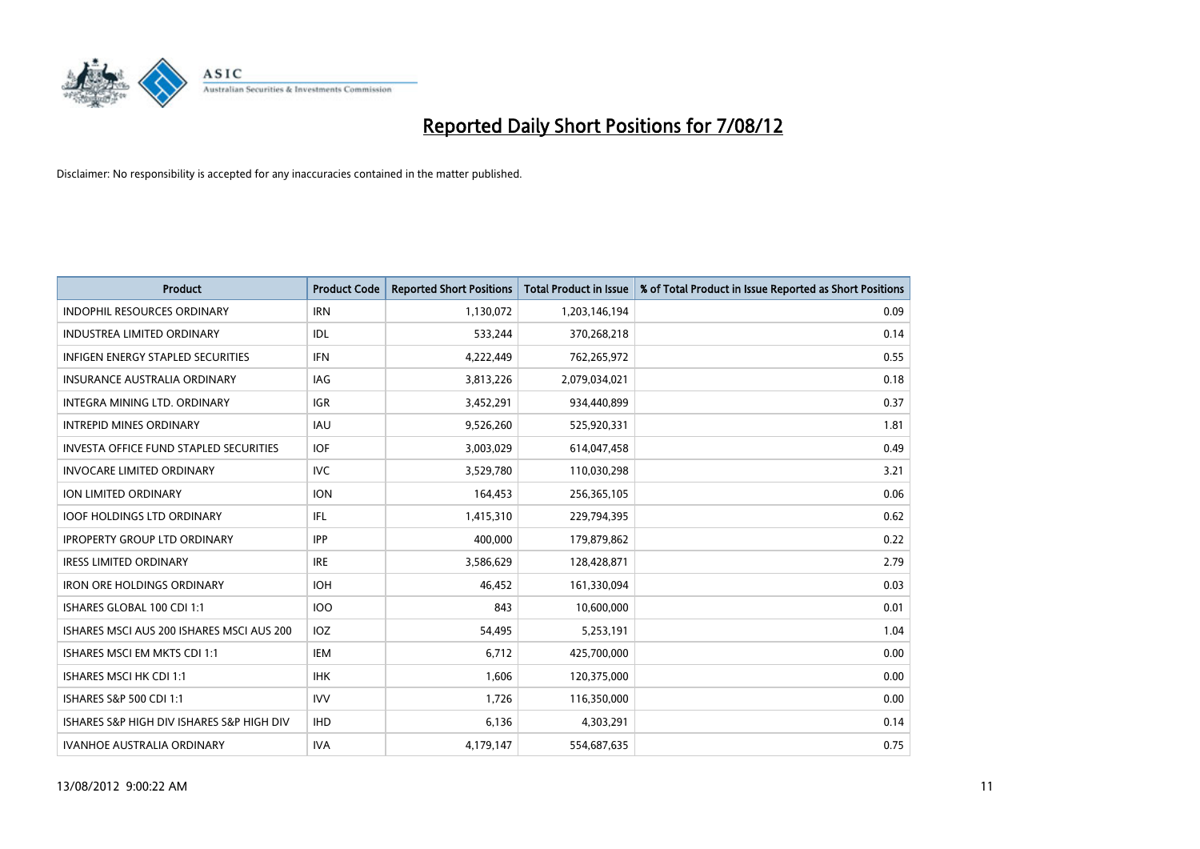

| <b>Product</b>                                | <b>Product Code</b> | <b>Reported Short Positions</b> | <b>Total Product in Issue</b> | % of Total Product in Issue Reported as Short Positions |
|-----------------------------------------------|---------------------|---------------------------------|-------------------------------|---------------------------------------------------------|
| <b>INDOPHIL RESOURCES ORDINARY</b>            | <b>IRN</b>          | 1,130,072                       | 1,203,146,194                 | 0.09                                                    |
| INDUSTREA LIMITED ORDINARY                    | <b>IDL</b>          | 533,244                         | 370,268,218                   | 0.14                                                    |
| <b>INFIGEN ENERGY STAPLED SECURITIES</b>      | <b>IFN</b>          | 4,222,449                       | 762,265,972                   | 0.55                                                    |
| INSURANCE AUSTRALIA ORDINARY                  | IAG                 | 3,813,226                       | 2,079,034,021                 | 0.18                                                    |
| <b>INTEGRA MINING LTD, ORDINARY</b>           | <b>IGR</b>          | 3,452,291                       | 934,440,899                   | 0.37                                                    |
| <b>INTREPID MINES ORDINARY</b>                | <b>IAU</b>          | 9,526,260                       | 525,920,331                   | 1.81                                                    |
| <b>INVESTA OFFICE FUND STAPLED SECURITIES</b> | <b>IOF</b>          | 3,003,029                       | 614,047,458                   | 0.49                                                    |
| <b>INVOCARE LIMITED ORDINARY</b>              | <b>IVC</b>          | 3,529,780                       | 110,030,298                   | 3.21                                                    |
| ION LIMITED ORDINARY                          | <b>ION</b>          | 164,453                         | 256,365,105                   | 0.06                                                    |
| <b>IOOF HOLDINGS LTD ORDINARY</b>             | IFL                 | 1,415,310                       | 229,794,395                   | 0.62                                                    |
| <b>IPROPERTY GROUP LTD ORDINARY</b>           | <b>IPP</b>          | 400,000                         | 179,879,862                   | 0.22                                                    |
| <b>IRESS LIMITED ORDINARY</b>                 | <b>IRE</b>          | 3,586,629                       | 128,428,871                   | 2.79                                                    |
| <b>IRON ORE HOLDINGS ORDINARY</b>             | <b>IOH</b>          | 46,452                          | 161,330,094                   | 0.03                                                    |
| ISHARES GLOBAL 100 CDI 1:1                    | 100                 | 843                             | 10,600,000                    | 0.01                                                    |
| ISHARES MSCI AUS 200 ISHARES MSCI AUS 200     | IOZ                 | 54,495                          | 5,253,191                     | 1.04                                                    |
| ISHARES MSCI EM MKTS CDI 1:1                  | IEM                 | 6,712                           | 425,700,000                   | 0.00                                                    |
| ISHARES MSCI HK CDI 1:1                       | <b>IHK</b>          | 1,606                           | 120,375,000                   | 0.00                                                    |
| <b>ISHARES S&amp;P 500 CDI 1:1</b>            | <b>IVV</b>          | 1,726                           | 116,350,000                   | 0.00                                                    |
| ISHARES S&P HIGH DIV ISHARES S&P HIGH DIV     | <b>IHD</b>          | 6,136                           | 4,303,291                     | 0.14                                                    |
| <b>IVANHOE AUSTRALIA ORDINARY</b>             | <b>IVA</b>          | 4,179,147                       | 554,687,635                   | 0.75                                                    |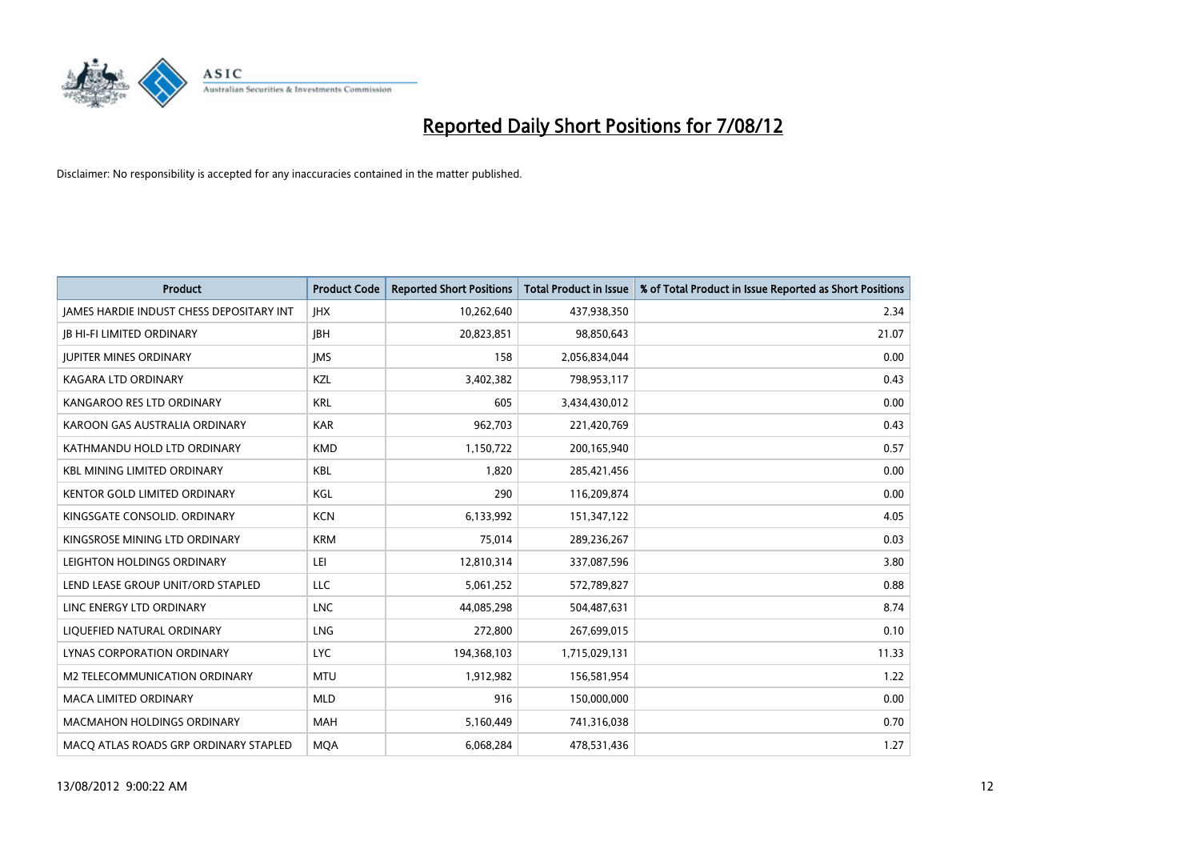

| <b>Product</b>                                  | <b>Product Code</b> | <b>Reported Short Positions</b> | <b>Total Product in Issue</b> | % of Total Product in Issue Reported as Short Positions |
|-------------------------------------------------|---------------------|---------------------------------|-------------------------------|---------------------------------------------------------|
| <b>JAMES HARDIE INDUST CHESS DEPOSITARY INT</b> | <b>IHX</b>          | 10,262,640                      | 437,938,350                   | 2.34                                                    |
| <b>JB HI-FI LIMITED ORDINARY</b>                | <b>IBH</b>          | 20,823,851                      | 98,850,643                    | 21.07                                                   |
| <b>JUPITER MINES ORDINARY</b>                   | <b>IMS</b>          | 158                             | 2,056,834,044                 | 0.00                                                    |
| KAGARA LTD ORDINARY                             | KZL                 | 3,402,382                       | 798,953,117                   | 0.43                                                    |
| KANGAROO RES LTD ORDINARY                       | <b>KRL</b>          | 605                             | 3,434,430,012                 | 0.00                                                    |
| KAROON GAS AUSTRALIA ORDINARY                   | <b>KAR</b>          | 962,703                         | 221,420,769                   | 0.43                                                    |
| KATHMANDU HOLD LTD ORDINARY                     | <b>KMD</b>          | 1,150,722                       | 200,165,940                   | 0.57                                                    |
| <b>KBL MINING LIMITED ORDINARY</b>              | <b>KBL</b>          | 1,820                           | 285,421,456                   | 0.00                                                    |
| KENTOR GOLD LIMITED ORDINARY                    | KGL                 | 290                             | 116,209,874                   | 0.00                                                    |
| KINGSGATE CONSOLID. ORDINARY                    | <b>KCN</b>          | 6,133,992                       | 151,347,122                   | 4.05                                                    |
| KINGSROSE MINING LTD ORDINARY                   | <b>KRM</b>          | 75,014                          | 289,236,267                   | 0.03                                                    |
| LEIGHTON HOLDINGS ORDINARY                      | LEI                 | 12,810,314                      | 337,087,596                   | 3.80                                                    |
| LEND LEASE GROUP UNIT/ORD STAPLED               | LLC                 | 5,061,252                       | 572,789,827                   | 0.88                                                    |
| LINC ENERGY LTD ORDINARY                        | <b>LNC</b>          | 44,085,298                      | 504,487,631                   | 8.74                                                    |
| LIQUEFIED NATURAL ORDINARY                      | LNG                 | 272,800                         | 267,699,015                   | 0.10                                                    |
| LYNAS CORPORATION ORDINARY                      | LYC.                | 194,368,103                     | 1,715,029,131                 | 11.33                                                   |
| M2 TELECOMMUNICATION ORDINARY                   | <b>MTU</b>          | 1,912,982                       | 156,581,954                   | 1.22                                                    |
| <b>MACA LIMITED ORDINARY</b>                    | <b>MLD</b>          | 916                             | 150,000,000                   | 0.00                                                    |
| <b>MACMAHON HOLDINGS ORDINARY</b>               | <b>MAH</b>          | 5,160,449                       | 741,316,038                   | 0.70                                                    |
| MACO ATLAS ROADS GRP ORDINARY STAPLED           | <b>MOA</b>          | 6.068.284                       | 478,531,436                   | 1.27                                                    |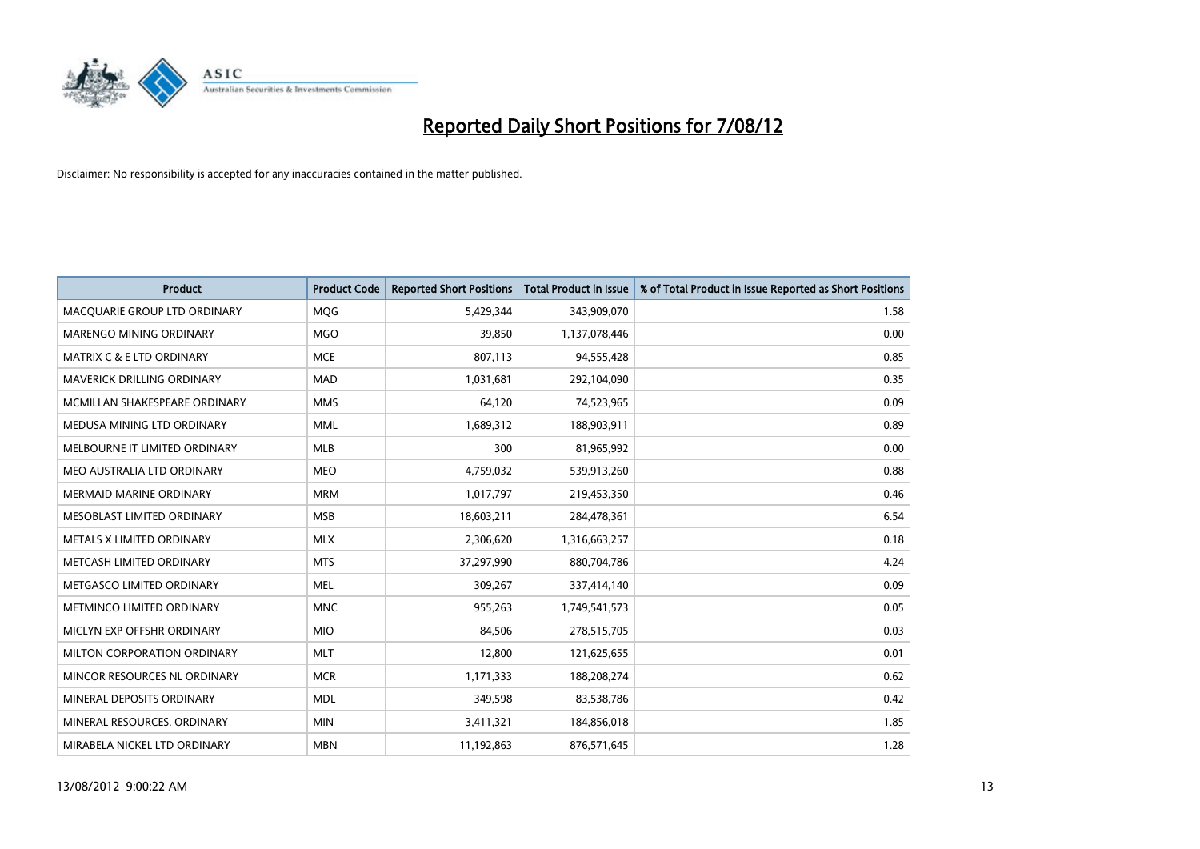

| <b>Product</b>                       | <b>Product Code</b> | <b>Reported Short Positions</b> | <b>Total Product in Issue</b> | % of Total Product in Issue Reported as Short Positions |
|--------------------------------------|---------------------|---------------------------------|-------------------------------|---------------------------------------------------------|
| MACQUARIE GROUP LTD ORDINARY         | MQG                 | 5,429,344                       | 343,909,070                   | 1.58                                                    |
| MARENGO MINING ORDINARY              | <b>MGO</b>          | 39,850                          | 1,137,078,446                 | 0.00                                                    |
| <b>MATRIX C &amp; E LTD ORDINARY</b> | <b>MCE</b>          | 807,113                         | 94,555,428                    | 0.85                                                    |
| MAVERICK DRILLING ORDINARY           | <b>MAD</b>          | 1,031,681                       | 292,104,090                   | 0.35                                                    |
| MCMILLAN SHAKESPEARE ORDINARY        | <b>MMS</b>          | 64,120                          | 74,523,965                    | 0.09                                                    |
| MEDUSA MINING LTD ORDINARY           | <b>MML</b>          | 1,689,312                       | 188,903,911                   | 0.89                                                    |
| MELBOURNE IT LIMITED ORDINARY        | <b>MLB</b>          | 300                             | 81,965,992                    | 0.00                                                    |
| MEO AUSTRALIA LTD ORDINARY           | <b>MEO</b>          | 4,759,032                       | 539,913,260                   | 0.88                                                    |
| MERMAID MARINE ORDINARY              | <b>MRM</b>          | 1,017,797                       | 219,453,350                   | 0.46                                                    |
| MESOBLAST LIMITED ORDINARY           | <b>MSB</b>          | 18,603,211                      | 284,478,361                   | 6.54                                                    |
| METALS X LIMITED ORDINARY            | <b>MLX</b>          | 2,306,620                       | 1,316,663,257                 | 0.18                                                    |
| METCASH LIMITED ORDINARY             | <b>MTS</b>          | 37,297,990                      | 880,704,786                   | 4.24                                                    |
| METGASCO LIMITED ORDINARY            | <b>MEL</b>          | 309,267                         | 337,414,140                   | 0.09                                                    |
| METMINCO LIMITED ORDINARY            | <b>MNC</b>          | 955,263                         | 1,749,541,573                 | 0.05                                                    |
| MICLYN EXP OFFSHR ORDINARY           | <b>MIO</b>          | 84,506                          | 278,515,705                   | 0.03                                                    |
| MILTON CORPORATION ORDINARY          | <b>MLT</b>          | 12,800                          | 121,625,655                   | 0.01                                                    |
| MINCOR RESOURCES NL ORDINARY         | <b>MCR</b>          | 1,171,333                       | 188,208,274                   | 0.62                                                    |
| MINERAL DEPOSITS ORDINARY            | <b>MDL</b>          | 349,598                         | 83,538,786                    | 0.42                                                    |
| MINERAL RESOURCES, ORDINARY          | <b>MIN</b>          | 3,411,321                       | 184,856,018                   | 1.85                                                    |
| MIRABELA NICKEL LTD ORDINARY         | <b>MBN</b>          | 11,192,863                      | 876,571,645                   | 1.28                                                    |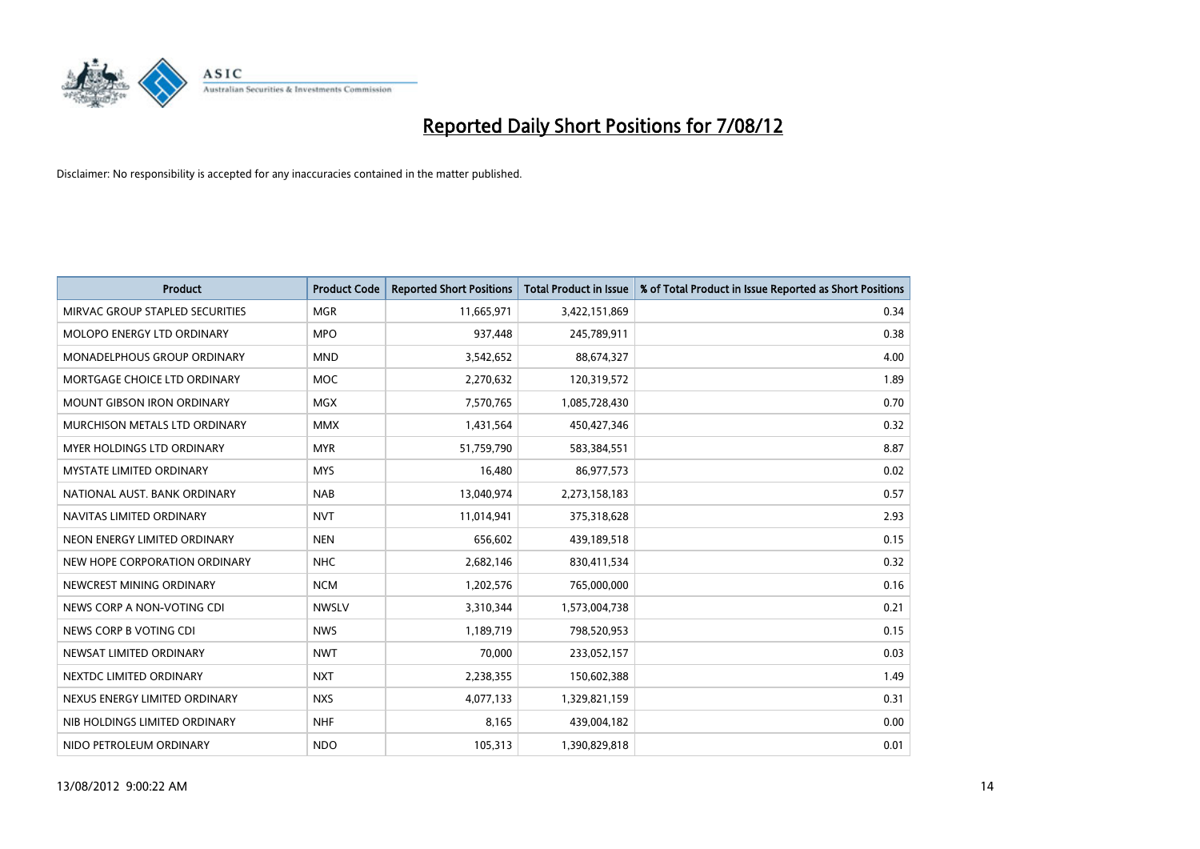

| <b>Product</b>                       | <b>Product Code</b> | <b>Reported Short Positions</b> | <b>Total Product in Issue</b> | % of Total Product in Issue Reported as Short Positions |
|--------------------------------------|---------------------|---------------------------------|-------------------------------|---------------------------------------------------------|
| MIRVAC GROUP STAPLED SECURITIES      | <b>MGR</b>          | 11,665,971                      | 3,422,151,869                 | 0.34                                                    |
| MOLOPO ENERGY LTD ORDINARY           | <b>MPO</b>          | 937,448                         | 245,789,911                   | 0.38                                                    |
| <b>MONADELPHOUS GROUP ORDINARY</b>   | <b>MND</b>          | 3,542,652                       | 88,674,327                    | 4.00                                                    |
| MORTGAGE CHOICE LTD ORDINARY         | <b>MOC</b>          | 2,270,632                       | 120,319,572                   | 1.89                                                    |
| <b>MOUNT GIBSON IRON ORDINARY</b>    | <b>MGX</b>          | 7,570,765                       | 1,085,728,430                 | 0.70                                                    |
| <b>MURCHISON METALS LTD ORDINARY</b> | <b>MMX</b>          | 1,431,564                       | 450,427,346                   | 0.32                                                    |
| <b>MYER HOLDINGS LTD ORDINARY</b>    | <b>MYR</b>          | 51,759,790                      | 583,384,551                   | 8.87                                                    |
| <b>MYSTATE LIMITED ORDINARY</b>      | <b>MYS</b>          | 16,480                          | 86,977,573                    | 0.02                                                    |
| NATIONAL AUST, BANK ORDINARY         | <b>NAB</b>          | 13,040,974                      | 2,273,158,183                 | 0.57                                                    |
| NAVITAS LIMITED ORDINARY             | <b>NVT</b>          | 11,014,941                      | 375,318,628                   | 2.93                                                    |
| NEON ENERGY LIMITED ORDINARY         | <b>NEN</b>          | 656,602                         | 439,189,518                   | 0.15                                                    |
| NEW HOPE CORPORATION ORDINARY        | <b>NHC</b>          | 2,682,146                       | 830,411,534                   | 0.32                                                    |
| NEWCREST MINING ORDINARY             | <b>NCM</b>          | 1,202,576                       | 765,000,000                   | 0.16                                                    |
| NEWS CORP A NON-VOTING CDI           | <b>NWSLV</b>        | 3,310,344                       | 1,573,004,738                 | 0.21                                                    |
| NEWS CORP B VOTING CDI               | <b>NWS</b>          | 1,189,719                       | 798,520,953                   | 0.15                                                    |
| NEWSAT LIMITED ORDINARY              | <b>NWT</b>          | 70,000                          | 233,052,157                   | 0.03                                                    |
| NEXTDC LIMITED ORDINARY              | <b>NXT</b>          | 2,238,355                       | 150,602,388                   | 1.49                                                    |
| NEXUS ENERGY LIMITED ORDINARY        | <b>NXS</b>          | 4,077,133                       | 1,329,821,159                 | 0.31                                                    |
| NIB HOLDINGS LIMITED ORDINARY        | <b>NHF</b>          | 8,165                           | 439,004,182                   | 0.00                                                    |
| NIDO PETROLEUM ORDINARY              | <b>NDO</b>          | 105,313                         | 1,390,829,818                 | 0.01                                                    |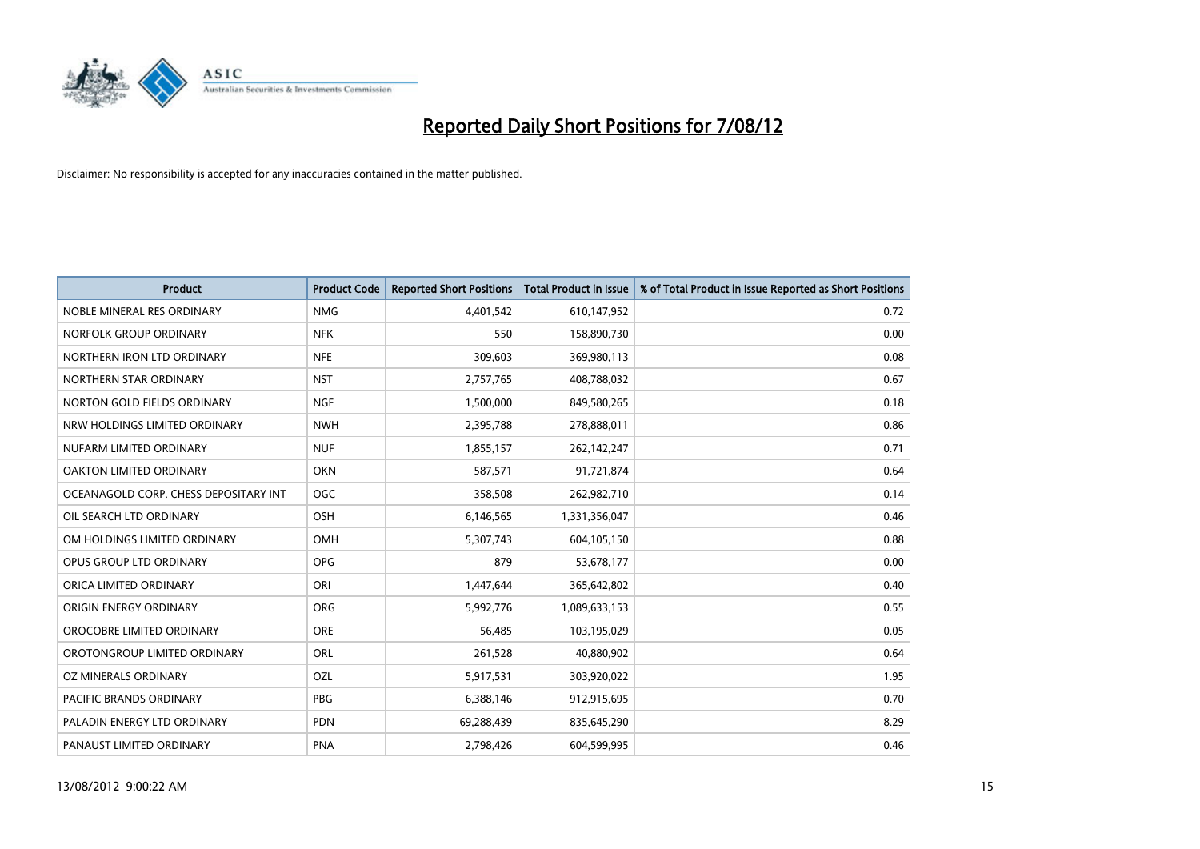

| <b>Product</b>                        | <b>Product Code</b> | <b>Reported Short Positions</b> | <b>Total Product in Issue</b> | % of Total Product in Issue Reported as Short Positions |
|---------------------------------------|---------------------|---------------------------------|-------------------------------|---------------------------------------------------------|
| NOBLE MINERAL RES ORDINARY            | <b>NMG</b>          | 4,401,542                       | 610,147,952                   | 0.72                                                    |
| NORFOLK GROUP ORDINARY                | <b>NFK</b>          | 550                             | 158,890,730                   | 0.00                                                    |
| NORTHERN IRON LTD ORDINARY            | <b>NFE</b>          | 309,603                         | 369,980,113                   | 0.08                                                    |
| NORTHERN STAR ORDINARY                | <b>NST</b>          | 2,757,765                       | 408,788,032                   | 0.67                                                    |
| NORTON GOLD FIELDS ORDINARY           | <b>NGF</b>          | 1,500,000                       | 849,580,265                   | 0.18                                                    |
| NRW HOLDINGS LIMITED ORDINARY         | <b>NWH</b>          | 2,395,788                       | 278,888,011                   | 0.86                                                    |
| NUFARM LIMITED ORDINARY               | <b>NUF</b>          | 1,855,157                       | 262,142,247                   | 0.71                                                    |
| OAKTON LIMITED ORDINARY               | <b>OKN</b>          | 587,571                         | 91,721,874                    | 0.64                                                    |
| OCEANAGOLD CORP. CHESS DEPOSITARY INT | <b>OGC</b>          | 358,508                         | 262,982,710                   | 0.14                                                    |
| OIL SEARCH LTD ORDINARY               | OSH                 | 6,146,565                       | 1,331,356,047                 | 0.46                                                    |
| OM HOLDINGS LIMITED ORDINARY          | <b>OMH</b>          | 5,307,743                       | 604,105,150                   | 0.88                                                    |
| OPUS GROUP LTD ORDINARY               | <b>OPG</b>          | 879                             | 53,678,177                    | 0.00                                                    |
| ORICA LIMITED ORDINARY                | ORI                 | 1,447,644                       | 365,642,802                   | 0.40                                                    |
| ORIGIN ENERGY ORDINARY                | <b>ORG</b>          | 5,992,776                       | 1,089,633,153                 | 0.55                                                    |
| OROCOBRE LIMITED ORDINARY             | <b>ORE</b>          | 56.485                          | 103,195,029                   | 0.05                                                    |
| OROTONGROUP LIMITED ORDINARY          | <b>ORL</b>          | 261,528                         | 40,880,902                    | 0.64                                                    |
| OZ MINERALS ORDINARY                  | OZL                 | 5,917,531                       | 303,920,022                   | 1.95                                                    |
| PACIFIC BRANDS ORDINARY               | <b>PBG</b>          | 6,388,146                       | 912,915,695                   | 0.70                                                    |
| PALADIN ENERGY LTD ORDINARY           | <b>PDN</b>          | 69,288,439                      | 835,645,290                   | 8.29                                                    |
| PANAUST LIMITED ORDINARY              | <b>PNA</b>          | 2,798,426                       | 604,599,995                   | 0.46                                                    |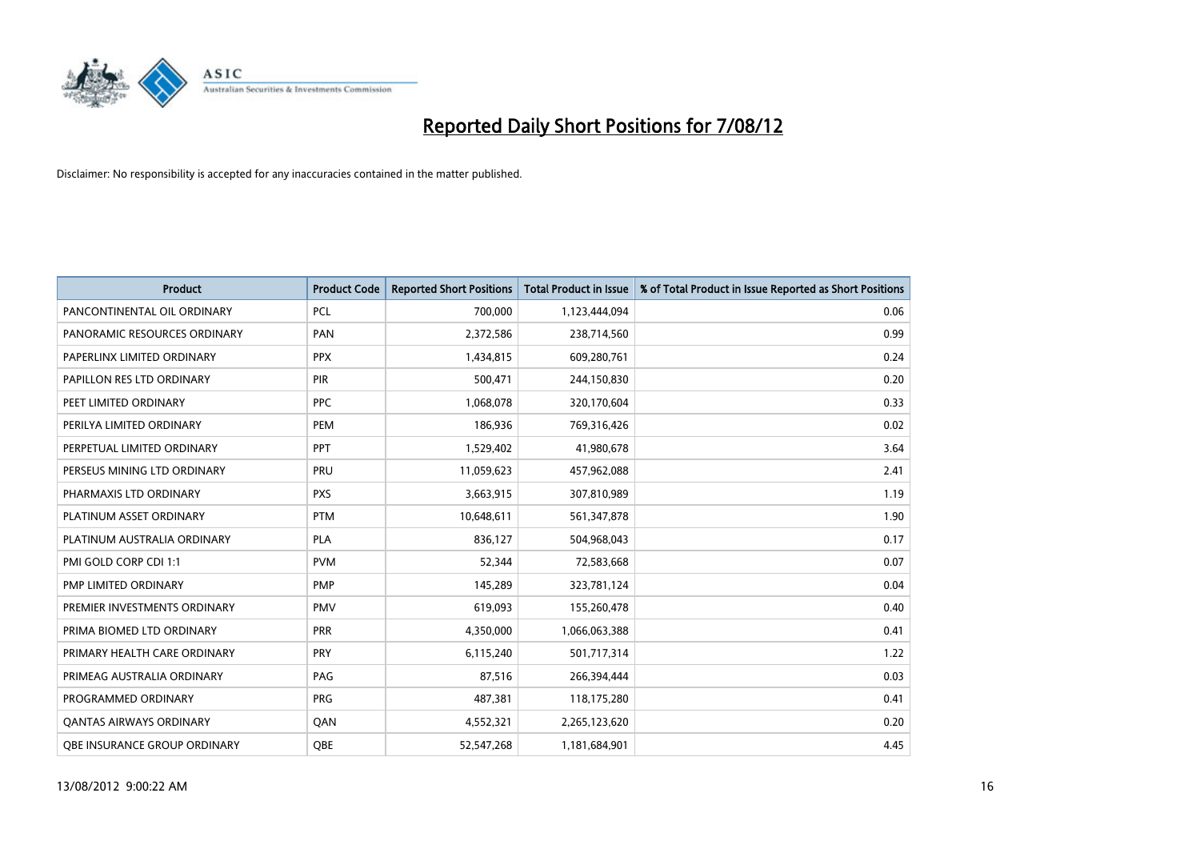

| <b>Product</b>                      | <b>Product Code</b> | <b>Reported Short Positions</b> | <b>Total Product in Issue</b> | % of Total Product in Issue Reported as Short Positions |
|-------------------------------------|---------------------|---------------------------------|-------------------------------|---------------------------------------------------------|
| PANCONTINENTAL OIL ORDINARY         | <b>PCL</b>          | 700,000                         | 1,123,444,094                 | 0.06                                                    |
| PANORAMIC RESOURCES ORDINARY        | PAN                 | 2,372,586                       | 238,714,560                   | 0.99                                                    |
| PAPERLINX LIMITED ORDINARY          | <b>PPX</b>          | 1,434,815                       | 609,280,761                   | 0.24                                                    |
| PAPILLON RES LTD ORDINARY           | PIR                 | 500,471                         | 244,150,830                   | 0.20                                                    |
| PEET LIMITED ORDINARY               | <b>PPC</b>          | 1,068,078                       | 320,170,604                   | 0.33                                                    |
| PERILYA LIMITED ORDINARY            | PEM                 | 186,936                         | 769,316,426                   | 0.02                                                    |
| PERPETUAL LIMITED ORDINARY          | <b>PPT</b>          | 1,529,402                       | 41,980,678                    | 3.64                                                    |
| PERSEUS MINING LTD ORDINARY         | PRU                 | 11,059,623                      | 457,962,088                   | 2.41                                                    |
| PHARMAXIS LTD ORDINARY              | <b>PXS</b>          | 3,663,915                       | 307,810,989                   | 1.19                                                    |
| PLATINUM ASSET ORDINARY             | <b>PTM</b>          | 10,648,611                      | 561,347,878                   | 1.90                                                    |
| PLATINUM AUSTRALIA ORDINARY         | <b>PLA</b>          | 836,127                         | 504,968,043                   | 0.17                                                    |
| PMI GOLD CORP CDI 1:1               | <b>PVM</b>          | 52,344                          | 72,583,668                    | 0.07                                                    |
| PMP LIMITED ORDINARY                | <b>PMP</b>          | 145,289                         | 323,781,124                   | 0.04                                                    |
| PREMIER INVESTMENTS ORDINARY        | <b>PMV</b>          | 619,093                         | 155,260,478                   | 0.40                                                    |
| PRIMA BIOMED LTD ORDINARY           | <b>PRR</b>          | 4,350,000                       | 1,066,063,388                 | 0.41                                                    |
| PRIMARY HEALTH CARE ORDINARY        | <b>PRY</b>          | 6,115,240                       | 501,717,314                   | 1.22                                                    |
| PRIMEAG AUSTRALIA ORDINARY          | PAG                 | 87,516                          | 266,394,444                   | 0.03                                                    |
| PROGRAMMED ORDINARY                 | <b>PRG</b>          | 487,381                         | 118,175,280                   | 0.41                                                    |
| <b>QANTAS AIRWAYS ORDINARY</b>      | QAN                 | 4,552,321                       | 2,265,123,620                 | 0.20                                                    |
| <b>OBE INSURANCE GROUP ORDINARY</b> | <b>OBE</b>          | 52,547,268                      | 1,181,684,901                 | 4.45                                                    |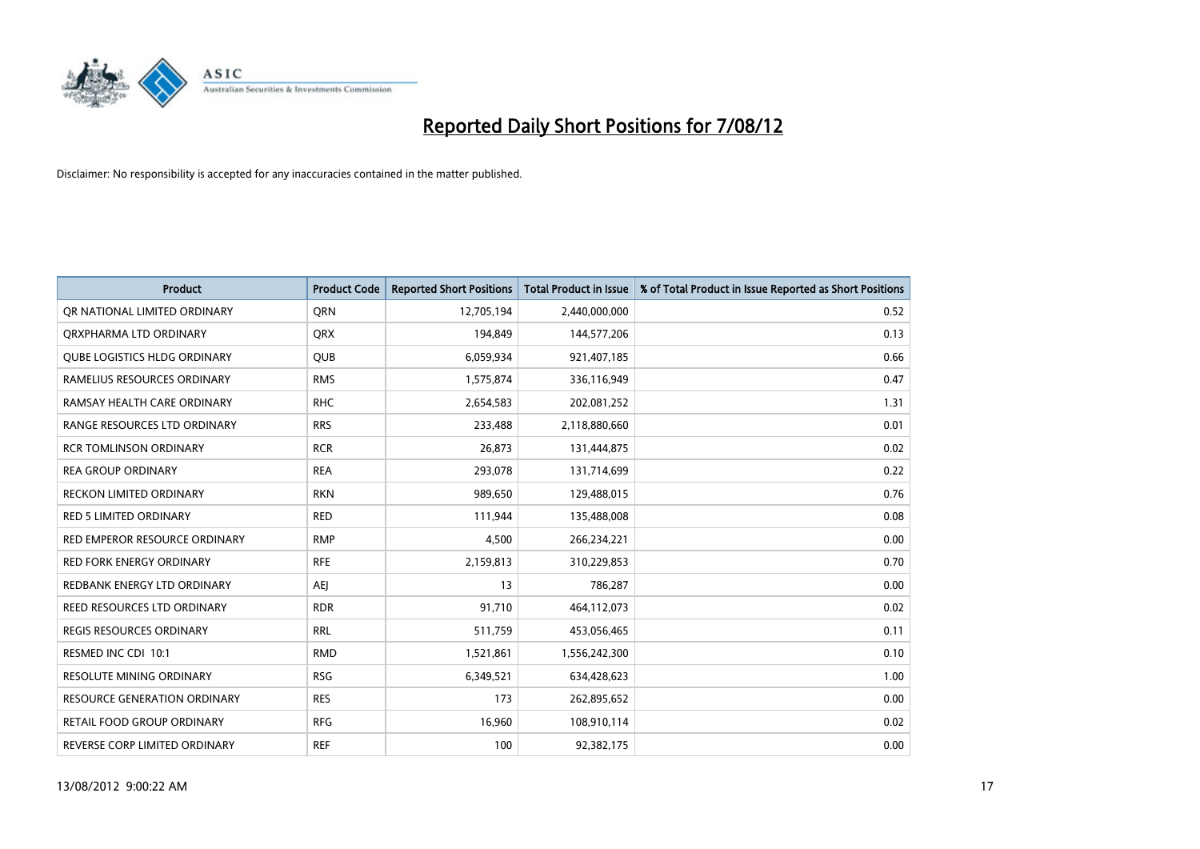

| <b>Product</b>                  | <b>Product Code</b> | <b>Reported Short Positions</b> | <b>Total Product in Issue</b> | % of Total Product in Issue Reported as Short Positions |
|---------------------------------|---------------------|---------------------------------|-------------------------------|---------------------------------------------------------|
| OR NATIONAL LIMITED ORDINARY    | <b>ORN</b>          | 12,705,194                      | 2,440,000,000                 | 0.52                                                    |
| ORXPHARMA LTD ORDINARY          | <b>QRX</b>          | 194,849                         | 144,577,206                   | 0.13                                                    |
| QUBE LOGISTICS HLDG ORDINARY    | QUB                 | 6,059,934                       | 921,407,185                   | 0.66                                                    |
| RAMELIUS RESOURCES ORDINARY     | <b>RMS</b>          | 1,575,874                       | 336,116,949                   | 0.47                                                    |
| RAMSAY HEALTH CARE ORDINARY     | <b>RHC</b>          | 2,654,583                       | 202,081,252                   | 1.31                                                    |
| RANGE RESOURCES LTD ORDINARY    | <b>RRS</b>          | 233,488                         | 2,118,880,660                 | 0.01                                                    |
| <b>RCR TOMLINSON ORDINARY</b>   | <b>RCR</b>          | 26,873                          | 131,444,875                   | 0.02                                                    |
| <b>REA GROUP ORDINARY</b>       | <b>REA</b>          | 293,078                         | 131,714,699                   | 0.22                                                    |
| <b>RECKON LIMITED ORDINARY</b>  | <b>RKN</b>          | 989,650                         | 129,488,015                   | 0.76                                                    |
| <b>RED 5 LIMITED ORDINARY</b>   | <b>RED</b>          | 111,944                         | 135,488,008                   | 0.08                                                    |
| RED EMPEROR RESOURCE ORDINARY   | <b>RMP</b>          | 4,500                           | 266,234,221                   | 0.00                                                    |
| <b>RED FORK ENERGY ORDINARY</b> | <b>RFE</b>          | 2,159,813                       | 310,229,853                   | 0.70                                                    |
| REDBANK ENERGY LTD ORDINARY     | AEI                 | 13                              | 786,287                       | 0.00                                                    |
| REED RESOURCES LTD ORDINARY     | <b>RDR</b>          | 91,710                          | 464,112,073                   | 0.02                                                    |
| <b>REGIS RESOURCES ORDINARY</b> | <b>RRL</b>          | 511,759                         | 453,056,465                   | 0.11                                                    |
| RESMED INC CDI 10:1             | <b>RMD</b>          | 1,521,861                       | 1,556,242,300                 | 0.10                                                    |
| RESOLUTE MINING ORDINARY        | <b>RSG</b>          | 6,349,521                       | 634,428,623                   | 1.00                                                    |
| RESOURCE GENERATION ORDINARY    | <b>RES</b>          | 173                             | 262,895,652                   | 0.00                                                    |
| RETAIL FOOD GROUP ORDINARY      | <b>RFG</b>          | 16,960                          | 108,910,114                   | 0.02                                                    |
| REVERSE CORP LIMITED ORDINARY   | <b>REF</b>          | 100                             | 92,382,175                    | 0.00                                                    |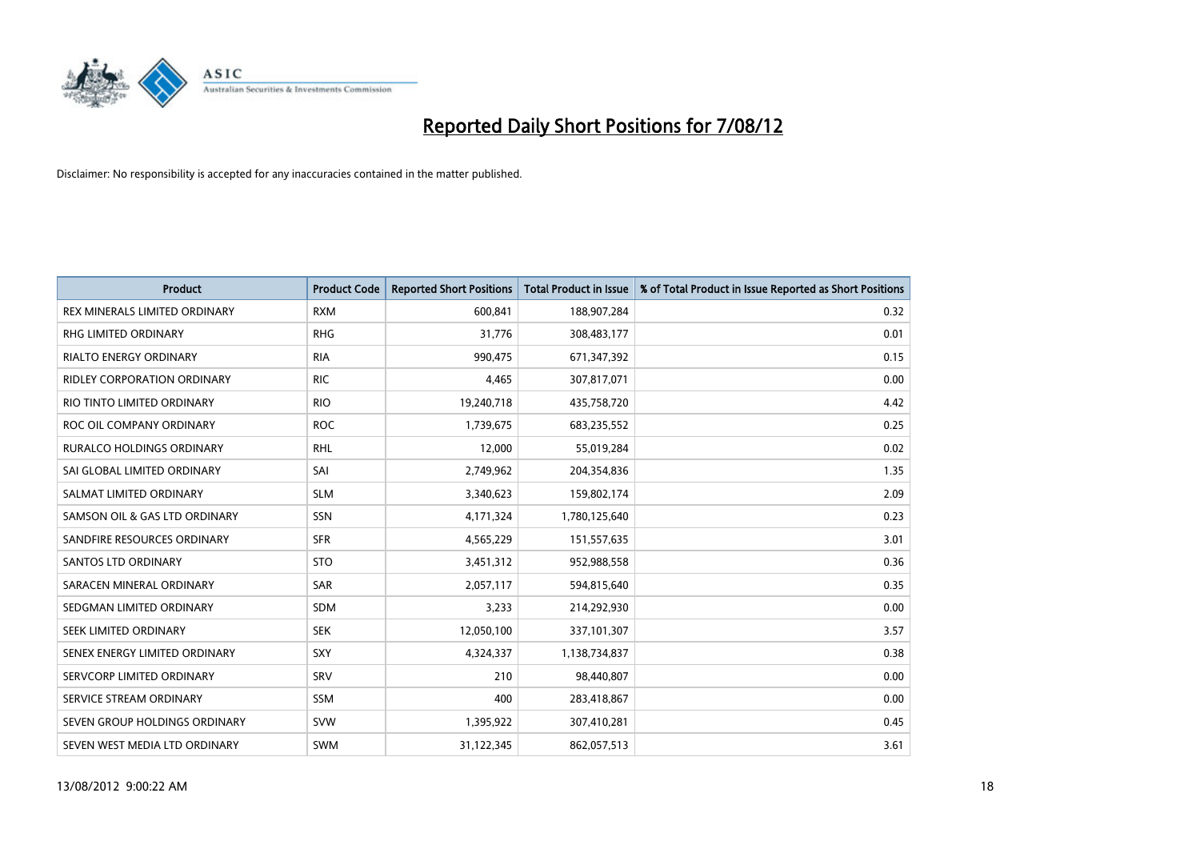

| <b>Product</b>                   | <b>Product Code</b> | <b>Reported Short Positions</b> | <b>Total Product in Issue</b> | % of Total Product in Issue Reported as Short Positions |
|----------------------------------|---------------------|---------------------------------|-------------------------------|---------------------------------------------------------|
| REX MINERALS LIMITED ORDINARY    | <b>RXM</b>          | 600,841                         | 188,907,284                   | 0.32                                                    |
| RHG LIMITED ORDINARY             | <b>RHG</b>          | 31,776                          | 308,483,177                   | 0.01                                                    |
| <b>RIALTO ENERGY ORDINARY</b>    | <b>RIA</b>          | 990,475                         | 671,347,392                   | 0.15                                                    |
| RIDLEY CORPORATION ORDINARY      | <b>RIC</b>          | 4,465                           | 307,817,071                   | 0.00                                                    |
| RIO TINTO LIMITED ORDINARY       | <b>RIO</b>          | 19,240,718                      | 435,758,720                   | 4.42                                                    |
| ROC OIL COMPANY ORDINARY         | <b>ROC</b>          | 1,739,675                       | 683,235,552                   | 0.25                                                    |
| <b>RURALCO HOLDINGS ORDINARY</b> | <b>RHL</b>          | 12,000                          | 55,019,284                    | 0.02                                                    |
| SAI GLOBAL LIMITED ORDINARY      | SAI                 | 2,749,962                       | 204,354,836                   | 1.35                                                    |
| SALMAT LIMITED ORDINARY          | <b>SLM</b>          | 3,340,623                       | 159,802,174                   | 2.09                                                    |
| SAMSON OIL & GAS LTD ORDINARY    | <b>SSN</b>          | 4,171,324                       | 1,780,125,640                 | 0.23                                                    |
| SANDFIRE RESOURCES ORDINARY      | <b>SFR</b>          | 4,565,229                       | 151,557,635                   | 3.01                                                    |
| <b>SANTOS LTD ORDINARY</b>       | <b>STO</b>          | 3,451,312                       | 952,988,558                   | 0.36                                                    |
| SARACEN MINERAL ORDINARY         | <b>SAR</b>          | 2,057,117                       | 594,815,640                   | 0.35                                                    |
| SEDGMAN LIMITED ORDINARY         | <b>SDM</b>          | 3,233                           | 214,292,930                   | 0.00                                                    |
| SEEK LIMITED ORDINARY            | <b>SEK</b>          | 12,050,100                      | 337,101,307                   | 3.57                                                    |
| SENEX ENERGY LIMITED ORDINARY    | <b>SXY</b>          | 4,324,337                       | 1,138,734,837                 | 0.38                                                    |
| SERVCORP LIMITED ORDINARY        | SRV                 | 210                             | 98,440,807                    | 0.00                                                    |
| SERVICE STREAM ORDINARY          | <b>SSM</b>          | 400                             | 283,418,867                   | 0.00                                                    |
| SEVEN GROUP HOLDINGS ORDINARY    | <b>SVW</b>          | 1,395,922                       | 307,410,281                   | 0.45                                                    |
| SEVEN WEST MEDIA LTD ORDINARY    | <b>SWM</b>          | 31,122,345                      | 862,057,513                   | 3.61                                                    |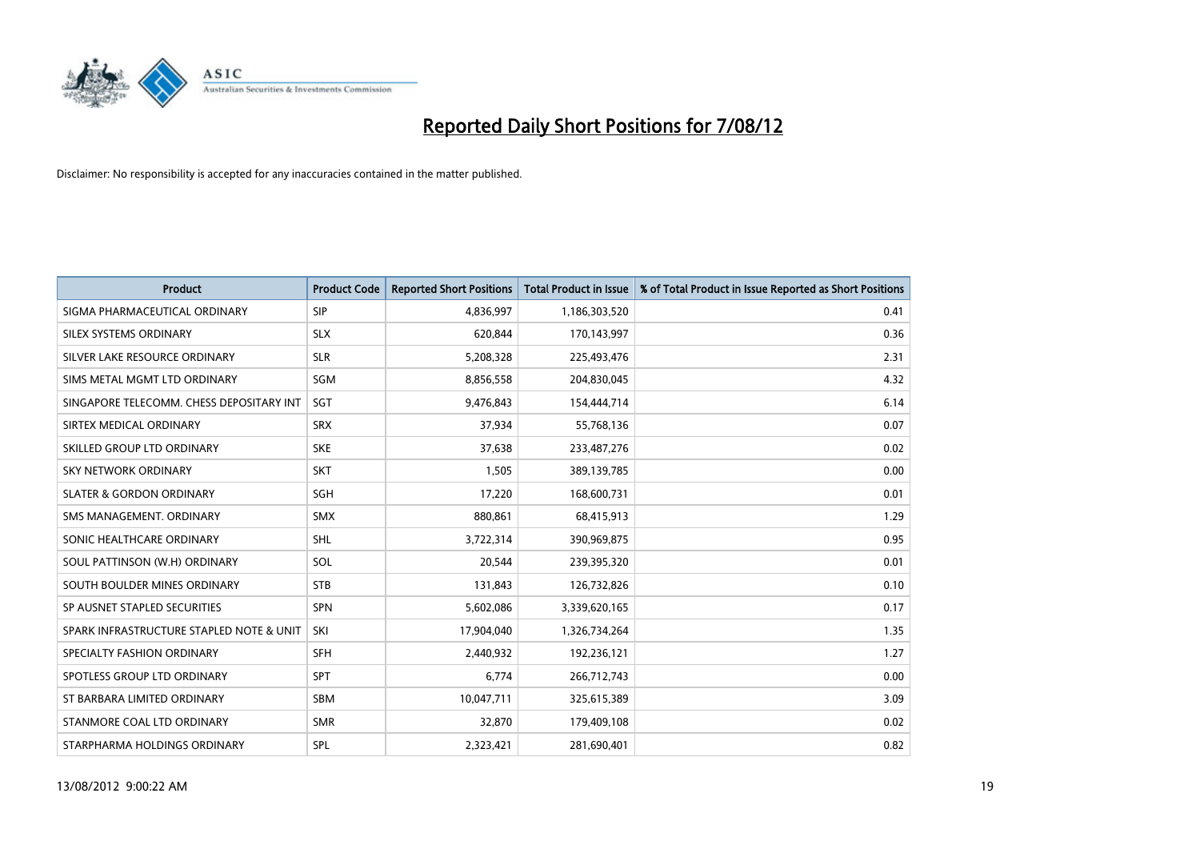

| <b>Product</b>                           | <b>Product Code</b> | <b>Reported Short Positions</b> | <b>Total Product in Issue</b> | % of Total Product in Issue Reported as Short Positions |
|------------------------------------------|---------------------|---------------------------------|-------------------------------|---------------------------------------------------------|
| SIGMA PHARMACEUTICAL ORDINARY            | SIP                 | 4,836,997                       | 1,186,303,520                 | 0.41                                                    |
| SILEX SYSTEMS ORDINARY                   | <b>SLX</b>          | 620.844                         | 170,143,997                   | 0.36                                                    |
| SILVER LAKE RESOURCE ORDINARY            | <b>SLR</b>          | 5,208,328                       | 225,493,476                   | 2.31                                                    |
| SIMS METAL MGMT LTD ORDINARY             | <b>SGM</b>          | 8,856,558                       | 204,830,045                   | 4.32                                                    |
| SINGAPORE TELECOMM. CHESS DEPOSITARY INT | SGT                 | 9,476,843                       | 154,444,714                   | 6.14                                                    |
| SIRTEX MEDICAL ORDINARY                  | <b>SRX</b>          | 37,934                          | 55,768,136                    | 0.07                                                    |
| SKILLED GROUP LTD ORDINARY               | <b>SKE</b>          | 37,638                          | 233,487,276                   | 0.02                                                    |
| <b>SKY NETWORK ORDINARY</b>              | <b>SKT</b>          | 1,505                           | 389,139,785                   | 0.00                                                    |
| <b>SLATER &amp; GORDON ORDINARY</b>      | <b>SGH</b>          | 17,220                          | 168,600,731                   | 0.01                                                    |
| SMS MANAGEMENT, ORDINARY                 | <b>SMX</b>          | 880,861                         | 68,415,913                    | 1.29                                                    |
| SONIC HEALTHCARE ORDINARY                | <b>SHL</b>          | 3,722,314                       | 390,969,875                   | 0.95                                                    |
| SOUL PATTINSON (W.H) ORDINARY            | SOL                 | 20,544                          | 239,395,320                   | 0.01                                                    |
| SOUTH BOULDER MINES ORDINARY             | <b>STB</b>          | 131,843                         | 126,732,826                   | 0.10                                                    |
| SP AUSNET STAPLED SECURITIES             | <b>SPN</b>          | 5,602,086                       | 3,339,620,165                 | 0.17                                                    |
| SPARK INFRASTRUCTURE STAPLED NOTE & UNIT | SKI                 | 17,904,040                      | 1,326,734,264                 | 1.35                                                    |
| SPECIALTY FASHION ORDINARY               | <b>SFH</b>          | 2,440,932                       | 192,236,121                   | 1.27                                                    |
| SPOTLESS GROUP LTD ORDINARY              | <b>SPT</b>          | 6,774                           | 266,712,743                   | 0.00                                                    |
| ST BARBARA LIMITED ORDINARY              | <b>SBM</b>          | 10,047,711                      | 325,615,389                   | 3.09                                                    |
| STANMORE COAL LTD ORDINARY               | <b>SMR</b>          | 32,870                          | 179,409,108                   | 0.02                                                    |
| STARPHARMA HOLDINGS ORDINARY             | SPL                 | 2,323,421                       | 281,690,401                   | 0.82                                                    |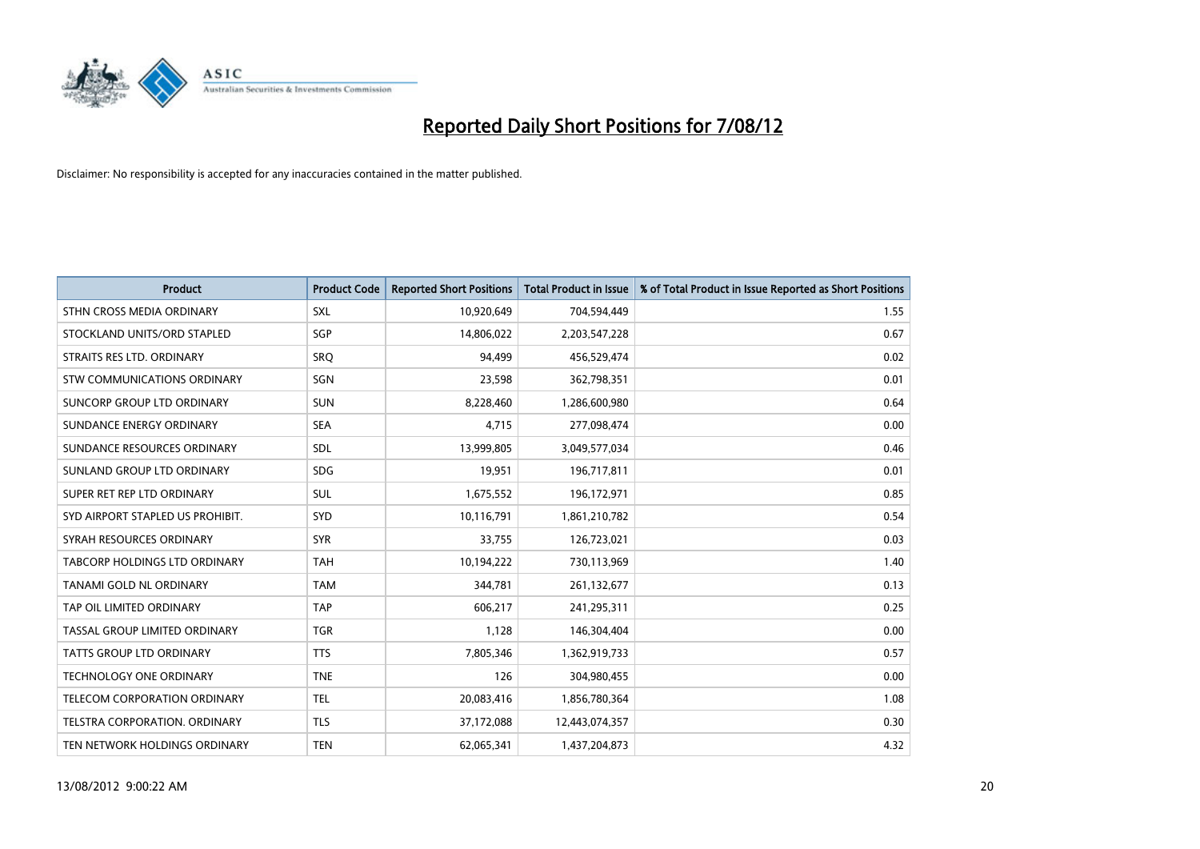

| <b>Product</b>                       | <b>Product Code</b> | <b>Reported Short Positions</b> | <b>Total Product in Issue</b> | % of Total Product in Issue Reported as Short Positions |
|--------------------------------------|---------------------|---------------------------------|-------------------------------|---------------------------------------------------------|
| STHN CROSS MEDIA ORDINARY            | <b>SXL</b>          | 10,920,649                      | 704,594,449                   | 1.55                                                    |
| STOCKLAND UNITS/ORD STAPLED          | <b>SGP</b>          | 14,806,022                      | 2,203,547,228                 | 0.67                                                    |
| STRAITS RES LTD. ORDINARY            | SRO                 | 94,499                          | 456,529,474                   | 0.02                                                    |
| STW COMMUNICATIONS ORDINARY          | SGN                 | 23,598                          | 362,798,351                   | 0.01                                                    |
| SUNCORP GROUP LTD ORDINARY           | <b>SUN</b>          | 8,228,460                       | 1,286,600,980                 | 0.64                                                    |
| SUNDANCE ENERGY ORDINARY             | <b>SEA</b>          | 4,715                           | 277,098,474                   | 0.00                                                    |
| SUNDANCE RESOURCES ORDINARY          | <b>SDL</b>          | 13,999,805                      | 3,049,577,034                 | 0.46                                                    |
| SUNLAND GROUP LTD ORDINARY           | <b>SDG</b>          | 19,951                          | 196,717,811                   | 0.01                                                    |
| SUPER RET REP LTD ORDINARY           | <b>SUL</b>          | 1,675,552                       | 196,172,971                   | 0.85                                                    |
| SYD AIRPORT STAPLED US PROHIBIT.     | <b>SYD</b>          | 10,116,791                      | 1,861,210,782                 | 0.54                                                    |
| SYRAH RESOURCES ORDINARY             | <b>SYR</b>          | 33,755                          | 126,723,021                   | 0.03                                                    |
| <b>TABCORP HOLDINGS LTD ORDINARY</b> | <b>TAH</b>          | 10,194,222                      | 730,113,969                   | 1.40                                                    |
| TANAMI GOLD NL ORDINARY              | <b>TAM</b>          | 344,781                         | 261,132,677                   | 0.13                                                    |
| TAP OIL LIMITED ORDINARY             | <b>TAP</b>          | 606,217                         | 241,295,311                   | 0.25                                                    |
| TASSAL GROUP LIMITED ORDINARY        | <b>TGR</b>          | 1,128                           | 146,304,404                   | 0.00                                                    |
| TATTS GROUP LTD ORDINARY             | <b>TTS</b>          | 7,805,346                       | 1,362,919,733                 | 0.57                                                    |
| TECHNOLOGY ONE ORDINARY              | <b>TNE</b>          | 126                             | 304,980,455                   | 0.00                                                    |
| TELECOM CORPORATION ORDINARY         | <b>TEL</b>          | 20,083,416                      | 1,856,780,364                 | 1.08                                                    |
| <b>TELSTRA CORPORATION, ORDINARY</b> | <b>TLS</b>          | 37,172,088                      | 12,443,074,357                | 0.30                                                    |
| TEN NETWORK HOLDINGS ORDINARY        | <b>TEN</b>          | 62,065,341                      | 1,437,204,873                 | 4.32                                                    |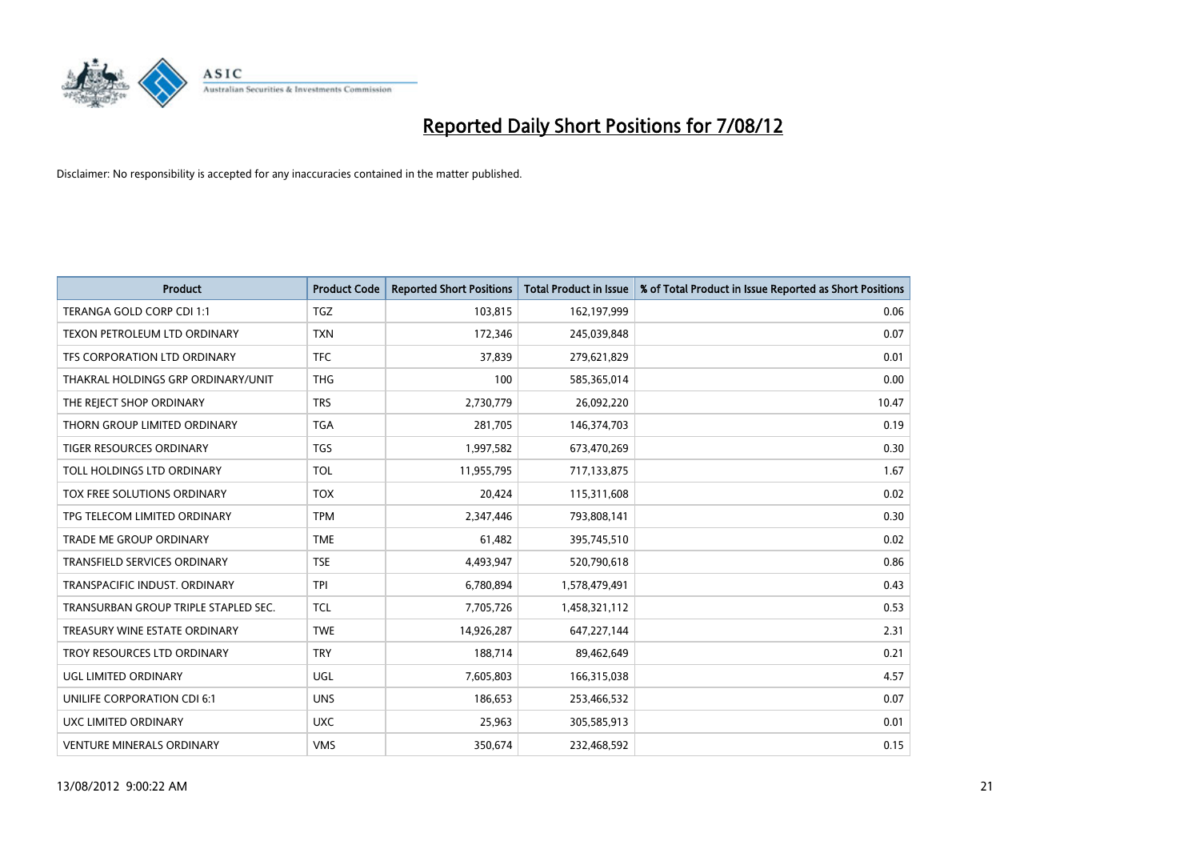

| <b>Product</b>                       | <b>Product Code</b> | <b>Reported Short Positions</b> | <b>Total Product in Issue</b> | % of Total Product in Issue Reported as Short Positions |
|--------------------------------------|---------------------|---------------------------------|-------------------------------|---------------------------------------------------------|
| TERANGA GOLD CORP CDI 1:1            | <b>TGZ</b>          | 103,815                         | 162,197,999                   | 0.06                                                    |
| TEXON PETROLEUM LTD ORDINARY         | <b>TXN</b>          | 172,346                         | 245,039,848                   | 0.07                                                    |
| TFS CORPORATION LTD ORDINARY         | <b>TFC</b>          | 37,839                          | 279,621,829                   | 0.01                                                    |
| THAKRAL HOLDINGS GRP ORDINARY/UNIT   | <b>THG</b>          | 100                             | 585,365,014                   | 0.00                                                    |
| THE REJECT SHOP ORDINARY             | <b>TRS</b>          | 2,730,779                       | 26,092,220                    | 10.47                                                   |
| THORN GROUP LIMITED ORDINARY         | <b>TGA</b>          | 281,705                         | 146,374,703                   | 0.19                                                    |
| TIGER RESOURCES ORDINARY             | <b>TGS</b>          | 1,997,582                       | 673,470,269                   | 0.30                                                    |
| TOLL HOLDINGS LTD ORDINARY           | <b>TOL</b>          | 11,955,795                      | 717,133,875                   | 1.67                                                    |
| TOX FREE SOLUTIONS ORDINARY          | <b>TOX</b>          | 20,424                          | 115,311,608                   | 0.02                                                    |
| TPG TELECOM LIMITED ORDINARY         | <b>TPM</b>          | 2,347,446                       | 793,808,141                   | 0.30                                                    |
| TRADE ME GROUP ORDINARY              | <b>TME</b>          | 61,482                          | 395,745,510                   | 0.02                                                    |
| TRANSFIELD SERVICES ORDINARY         | <b>TSE</b>          | 4,493,947                       | 520,790,618                   | 0.86                                                    |
| TRANSPACIFIC INDUST, ORDINARY        | <b>TPI</b>          | 6,780,894                       | 1,578,479,491                 | 0.43                                                    |
| TRANSURBAN GROUP TRIPLE STAPLED SEC. | <b>TCL</b>          | 7,705,726                       | 1,458,321,112                 | 0.53                                                    |
| TREASURY WINE ESTATE ORDINARY        | <b>TWE</b>          | 14,926,287                      | 647,227,144                   | 2.31                                                    |
| TROY RESOURCES LTD ORDINARY          | <b>TRY</b>          | 188,714                         | 89,462,649                    | 0.21                                                    |
| UGL LIMITED ORDINARY                 | UGL                 | 7,605,803                       | 166,315,038                   | 4.57                                                    |
| UNILIFE CORPORATION CDI 6:1          | <b>UNS</b>          | 186,653                         | 253,466,532                   | 0.07                                                    |
| UXC LIMITED ORDINARY                 | <b>UXC</b>          | 25,963                          | 305,585,913                   | 0.01                                                    |
| <b>VENTURE MINERALS ORDINARY</b>     | <b>VMS</b>          | 350,674                         | 232,468,592                   | 0.15                                                    |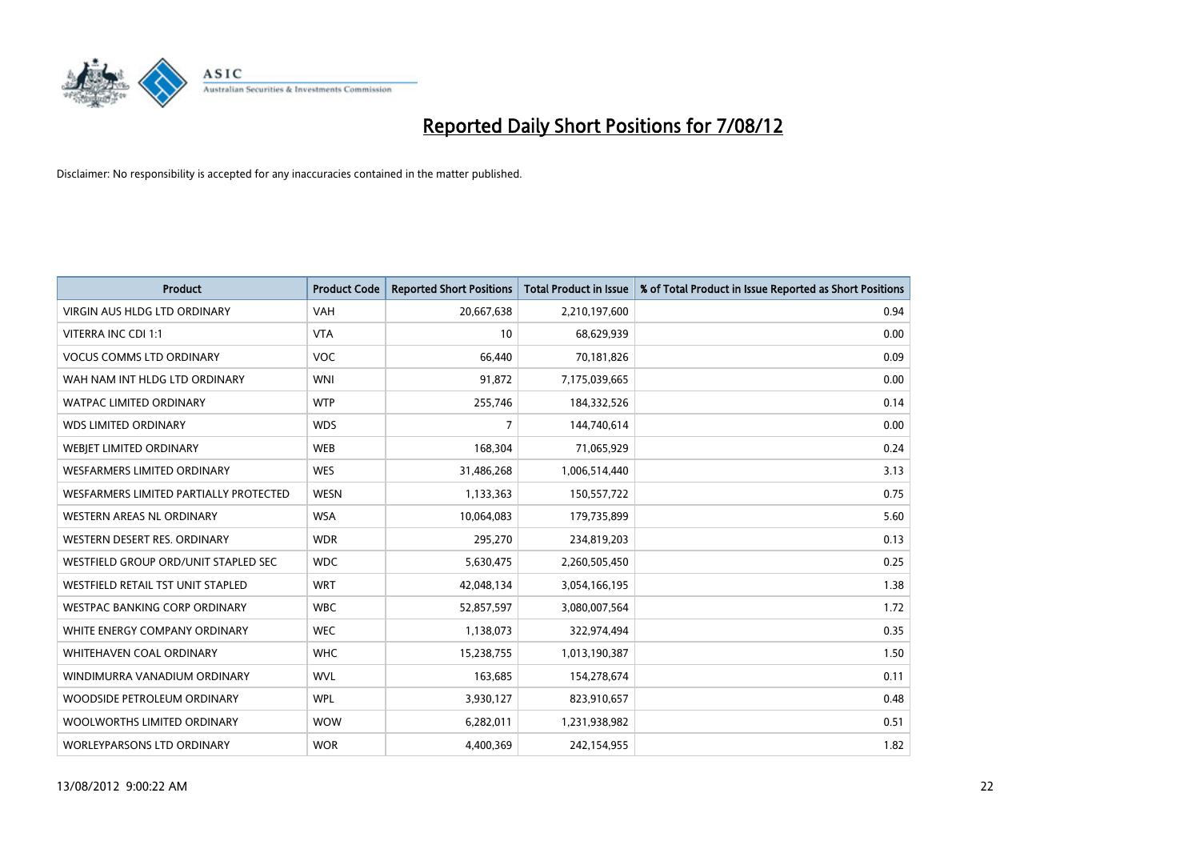

| <b>Product</b>                         | <b>Product Code</b> | <b>Reported Short Positions</b> | <b>Total Product in Issue</b> | % of Total Product in Issue Reported as Short Positions |
|----------------------------------------|---------------------|---------------------------------|-------------------------------|---------------------------------------------------------|
| <b>VIRGIN AUS HLDG LTD ORDINARY</b>    | <b>VAH</b>          | 20,667,638                      | 2,210,197,600                 | 0.94                                                    |
| VITERRA INC CDI 1:1                    | <b>VTA</b>          | 10                              | 68,629,939                    | 0.00                                                    |
| <b>VOCUS COMMS LTD ORDINARY</b>        | <b>VOC</b>          | 66,440                          | 70,181,826                    | 0.09                                                    |
| WAH NAM INT HLDG LTD ORDINARY          | <b>WNI</b>          | 91,872                          | 7,175,039,665                 | 0.00                                                    |
| <b>WATPAC LIMITED ORDINARY</b>         | <b>WTP</b>          | 255,746                         | 184,332,526                   | 0.14                                                    |
| <b>WDS LIMITED ORDINARY</b>            | <b>WDS</b>          | 7                               | 144,740,614                   | 0.00                                                    |
| <b>WEBIET LIMITED ORDINARY</b>         | <b>WEB</b>          | 168,304                         | 71,065,929                    | 0.24                                                    |
| <b>WESFARMERS LIMITED ORDINARY</b>     | <b>WES</b>          | 31,486,268                      | 1,006,514,440                 | 3.13                                                    |
| WESFARMERS LIMITED PARTIALLY PROTECTED | <b>WESN</b>         | 1,133,363                       | 150,557,722                   | 0.75                                                    |
| <b>WESTERN AREAS NL ORDINARY</b>       | <b>WSA</b>          | 10,064,083                      | 179,735,899                   | 5.60                                                    |
| WESTERN DESERT RES. ORDINARY           | <b>WDR</b>          | 295,270                         | 234,819,203                   | 0.13                                                    |
| WESTFIELD GROUP ORD/UNIT STAPLED SEC   | <b>WDC</b>          | 5,630,475                       | 2,260,505,450                 | 0.25                                                    |
| WESTFIELD RETAIL TST UNIT STAPLED      | <b>WRT</b>          | 42,048,134                      | 3,054,166,195                 | 1.38                                                    |
| <b>WESTPAC BANKING CORP ORDINARY</b>   | <b>WBC</b>          | 52,857,597                      | 3,080,007,564                 | 1.72                                                    |
| WHITE ENERGY COMPANY ORDINARY          | <b>WEC</b>          | 1,138,073                       | 322,974,494                   | 0.35                                                    |
| <b>WHITEHAVEN COAL ORDINARY</b>        | <b>WHC</b>          | 15,238,755                      | 1,013,190,387                 | 1.50                                                    |
| WINDIMURRA VANADIUM ORDINARY           | <b>WVL</b>          | 163,685                         | 154,278,674                   | 0.11                                                    |
| WOODSIDE PETROLEUM ORDINARY            | <b>WPL</b>          | 3,930,127                       | 823,910,657                   | 0.48                                                    |
| WOOLWORTHS LIMITED ORDINARY            | <b>WOW</b>          | 6,282,011                       | 1,231,938,982                 | 0.51                                                    |
| <b>WORLEYPARSONS LTD ORDINARY</b>      | <b>WOR</b>          | 4,400,369                       | 242,154,955                   | 1.82                                                    |